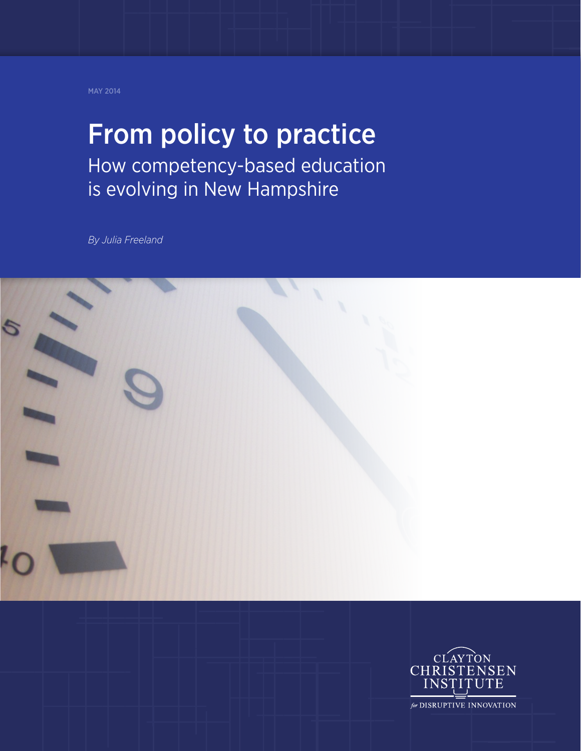may 2014

# From policy to practice How competency-based education is evolving in New Hampshire

*By Julia Freeland*





for DISRUPTIVE INNOVATION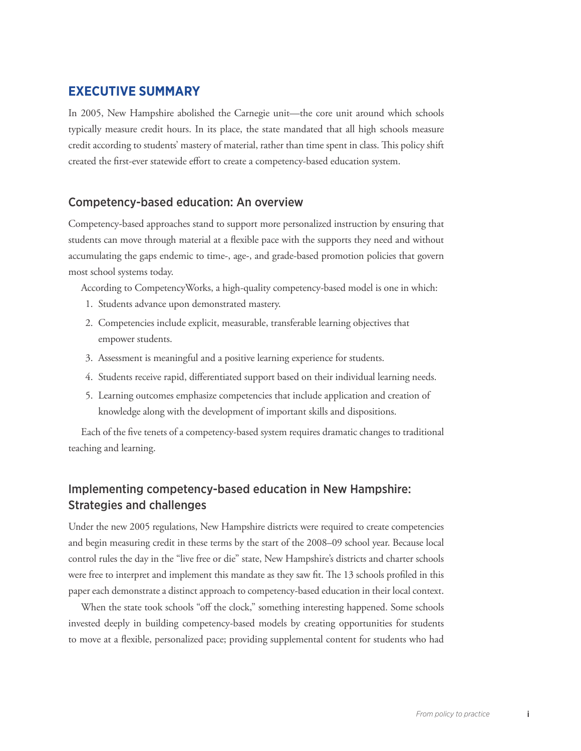### **Executive summary**

In 2005, New Hampshire abolished the Carnegie unit—the core unit around which schools typically measure credit hours. In its place, the state mandated that all high schools measure credit according to students' mastery of material, rather than time spent in class. This policy shift created the first-ever statewide effort to create a competency-based education system.

### Competency-based education: An overview

Competency-based approaches stand to support more personalized instruction by ensuring that students can move through material at a flexible pace with the supports they need and without accumulating the gaps endemic to time-, age-, and grade-based promotion policies that govern most school systems today.

According to CompetencyWorks, a high-quality competency-based model is one in which:

- 1. Students advance upon demonstrated mastery.
- 2. Competencies include explicit, measurable, transferable learning objectives that empower students.
- 3. Assessment is meaningful and a positive learning experience for students.
- 4. Students receive rapid, differentiated support based on their individual learning needs.
- 5. Learning outcomes emphasize competencies that include application and creation of knowledge along with the development of important skills and dispositions.

Each of the five tenets of a competency-based system requires dramatic changes to traditional teaching and learning.

### Implementing competency-based education in New Hampshire: Strategies and challenges

Under the new 2005 regulations, New Hampshire districts were required to create competencies and begin measuring credit in these terms by the start of the 2008–09 school year. Because local control rules the day in the "live free or die" state, New Hampshire's districts and charter schools were free to interpret and implement this mandate as they saw fit. The 13 schools profiled in this paper each demonstrate a distinct approach to competency-based education in their local context.

When the state took schools "off the clock," something interesting happened. Some schools invested deeply in building competency-based models by creating opportunities for students to move at a flexible, personalized pace; providing supplemental content for students who had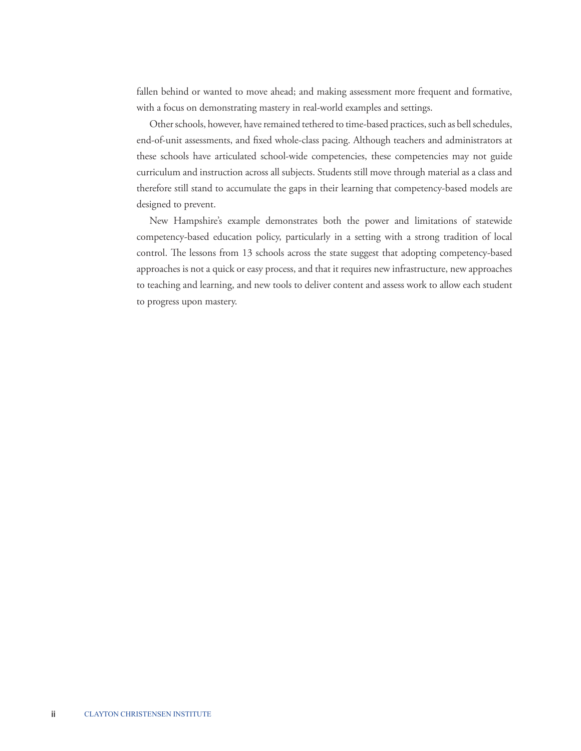fallen behind or wanted to move ahead; and making assessment more frequent and formative, with a focus on demonstrating mastery in real-world examples and settings.

Other schools, however, have remained tethered to time-based practices, such as bell schedules, end-of-unit assessments, and fixed whole-class pacing. Although teachers and administrators at these schools have articulated school-wide competencies, these competencies may not guide curriculum and instruction across all subjects. Students still move through material as a class and therefore still stand to accumulate the gaps in their learning that competency-based models are designed to prevent.

New Hampshire's example demonstrates both the power and limitations of statewide competency-based education policy, particularly in a setting with a strong tradition of local control. The lessons from 13 schools across the state suggest that adopting competency-based approaches is not a quick or easy process, and that it requires new infrastructure, new approaches to teaching and learning, and new tools to deliver content and assess work to allow each student to progress upon mastery.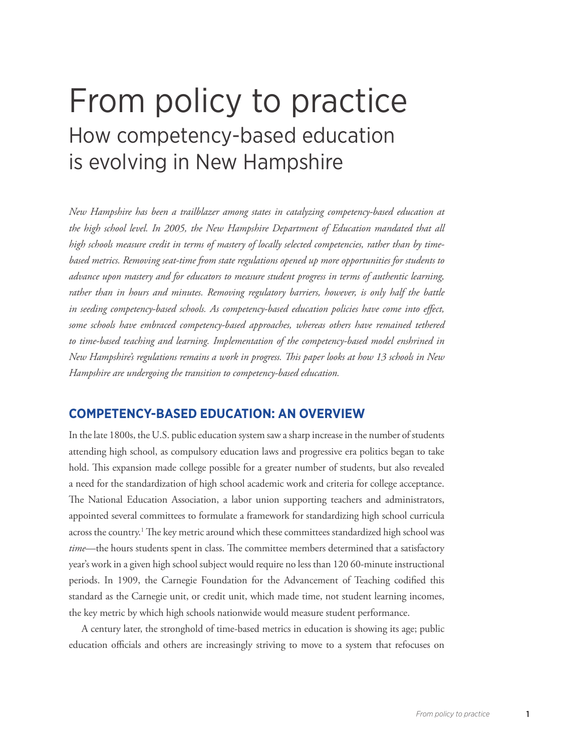# From policy to practice How competency-based education is evolving in New Hampshire

*New Hampshire has been a trailblazer among states in catalyzing competency-based education at the high school level. In 2005, the New Hampshire Department of Education mandated that all high schools measure credit in terms of mastery of locally selected competencies, rather than by timebased metrics. Removing seat-time from state regulations opened up more opportunities for students to advance upon mastery and for educators to measure student progress in terms of authentic learning, rather than in hours and minutes. Removing regulatory barriers, however, is only half the battle in seeding competency-based schools. As competency-based education policies have come into effect, some schools have embraced competency-based approaches, whereas others have remained tethered to time-based teaching and learning. Implementation of the competency-based model enshrined in New Hampshire's regulations remains a work in progress. This paper looks at how 13 schools in New Hampshire are undergoing the transition to competency-based education.* 

### **Competency-based education: An overview**

In the late 1800s, the U.S. public education system saw a sharp increase in the number of students attending high school, as compulsory education laws and progressive era politics began to take hold. This expansion made college possible for a greater number of students, but also revealed a need for the standardization of high school academic work and criteria for college acceptance. The National Education Association, a labor union supporting teachers and administrators, appointed several committees to formulate a framework for standardizing high school curricula across the country.<sup>1</sup> The key metric around which these committees standardized high school was *time*—the hours students spent in class. The committee members determined that a satisfactory year's work in a given high school subject would require no less than 120 60-minute instructional periods. In 1909, the Carnegie Foundation for the Advancement of Teaching codified this standard as the Carnegie unit, or credit unit, which made time, not student learning incomes, the key metric by which high schools nationwide would measure student performance.

A century later, the stronghold of time-based metrics in education is showing its age; public education officials and others are increasingly striving to move to a system that refocuses on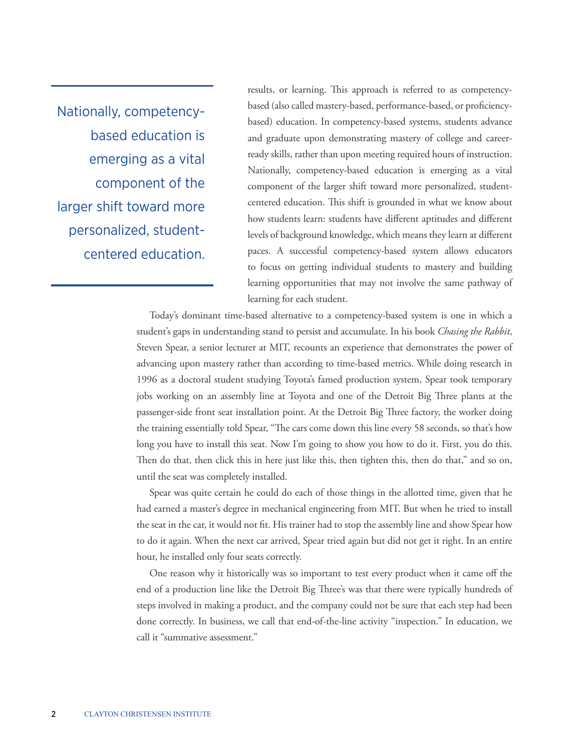Nationally, competencybased education is emerging as a vital component of the larger shift toward more personalized, studentcentered education.

results, or learning. This approach is referred to as competencybased (also called mastery-based, performance-based, or proficiencybased) education. In competency-based systems, students advance and graduate upon demonstrating mastery of college and careerready skills, rather than upon meeting required hours of instruction. Nationally, competency-based education is emerging as a vital component of the larger shift toward more personalized, studentcentered education. This shift is grounded in what we know about how students learn: students have different aptitudes and different levels of background knowledge, which means they learn at different paces. A successful competency-based system allows educators to focus on getting individual students to mastery and building learning opportunities that may not involve the same pathway of learning for each student.

Today's dominant time-based alternative to a competency-based system is one in which a student's gaps in understanding stand to persist and accumulate. In his book *Chasing the Rabbit*, Steven Spear, a senior lecturer at MIT, recounts an experience that demonstrates the power of advancing upon mastery rather than according to time-based metrics. While doing research in 1996 as a doctoral student studying Toyota's famed production system, Spear took temporary jobs working on an assembly line at Toyota and one of the Detroit Big Three plants at the passenger-side front seat installation point. At the Detroit Big Three factory, the worker doing the training essentially told Spear, "The cars come down this line every 58 seconds, so that's how long you have to install this seat. Now I'm going to show you how to do it. First, you do this. Then do that, then click this in here just like this, then tighten this, then do that," and so on, until the seat was completely installed.

Spear was quite certain he could do each of those things in the allotted time, given that he had earned a master's degree in mechanical engineering from MIT. But when he tried to install the seat in the car, it would not fit. His trainer had to stop the assembly line and show Spear how to do it again. When the next car arrived, Spear tried again but did not get it right. In an entire hour, he installed only four seats correctly.

One reason why it historically was so important to test every product when it came off the end of a production line like the Detroit Big Three's was that there were typically hundreds of steps involved in making a product, and the company could not be sure that each step had been done correctly. In business, we call that end-of-the-line activity "inspection." In education, we call it "summative assessment."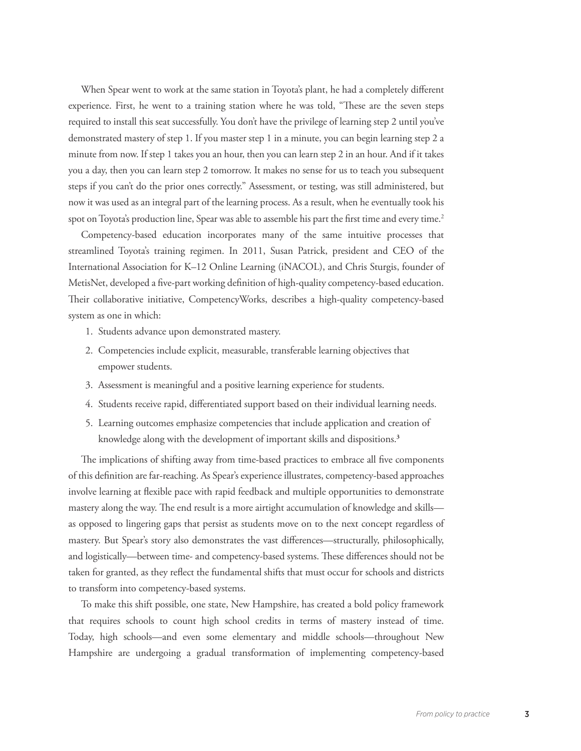When Spear went to work at the same station in Toyota's plant, he had a completely different experience. First, he went to a training station where he was told, "These are the seven steps required to install this seat successfully. You don't have the privilege of learning step 2 until you've demonstrated mastery of step 1. If you master step 1 in a minute, you can begin learning step 2 a minute from now. If step 1 takes you an hour, then you can learn step 2 in an hour. And if it takes you a day, then you can learn step 2 tomorrow. It makes no sense for us to teach you subsequent steps if you can't do the prior ones correctly." Assessment, or testing, was still administered, but now it was used as an integral part of the learning process. As a result, when he eventually took his spot on Toyota's production line, Spear was able to assemble his part the first time and every time.<sup>2</sup>

Competency-based education incorporates many of the same intuitive processes that streamlined Toyota's training regimen. In 2011, Susan Patrick, president and CEO of the International Association for K–12 Online Learning (iNACOL), and Chris Sturgis, founder of MetisNet, developed a five-part working definition of high-quality competency-based education. Their collaborative initiative, CompetencyWorks, describes a high-quality competency-based system as one in which:

- 1. Students advance upon demonstrated mastery.
- 2. Competencies include explicit, measurable, transferable learning objectives that empower students.
- 3. Assessment is meaningful and a positive learning experience for students.
- 4. Students receive rapid, differentiated support based on their individual learning needs.
- 5. Learning outcomes emphasize competencies that include application and creation of knowledge along with the development of important skills and dispositions.**<sup>3</sup>**

The implications of shifting away from time-based practices to embrace all five components of this definition are far-reaching. As Spear's experience illustrates, competency-based approaches involve learning at flexible pace with rapid feedback and multiple opportunities to demonstrate mastery along the way. The end result is a more airtight accumulation of knowledge and skills as opposed to lingering gaps that persist as students move on to the next concept regardless of mastery. But Spear's story also demonstrates the vast differences—structurally, philosophically, and logistically—between time- and competency-based systems. These differences should not be taken for granted, as they reflect the fundamental shifts that must occur for schools and districts to transform into competency-based systems.

To make this shift possible, one state, New Hampshire, has created a bold policy framework that requires schools to count high school credits in terms of mastery instead of time. Today, high schools—and even some elementary and middle schools—throughout New Hampshire are undergoing a gradual transformation of implementing competency-based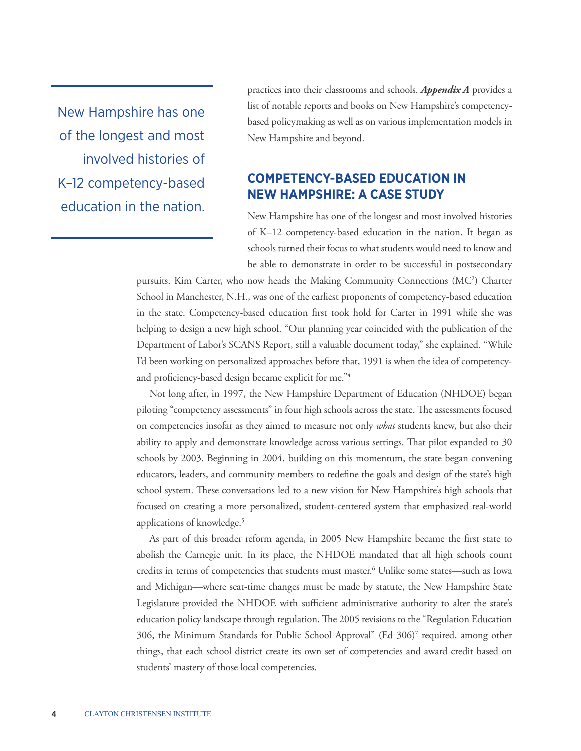New Hampshire has one of the longest and most involved histories of K–12 competency-based education in the nation.

practices into their classrooms and schools. *Appendix A* provides a list of notable reports and books on New Hampshire's competencybased policymaking as well as on various implementation models in New Hampshire and beyond.

### **Competency-based education in New Hampshire: A case study**

New Hampshire has one of the longest and most involved histories of K–12 competency-based education in the nation. It began as schools turned their focus to what students would need to know and be able to demonstrate in order to be successful in postsecondary

pursuits. Kim Carter, who now heads the Making Community Connections (MC<sup>2</sup>) Charter School in Manchester, N.H., was one of the earliest proponents of competency-based education in the state. Competency-based education first took hold for Carter in 1991 while she was helping to design a new high school. "Our planning year coincided with the publication of the Department of Labor's SCANS Report, still a valuable document today," she explained. "While I'd been working on personalized approaches before that, 1991 is when the idea of competencyand proficiency-based design became explicit for me."4

Not long after, in 1997, the New Hampshire Department of Education (NHDOE) began piloting "competency assessments" in four high schools across the state. The assessments focused on competencies insofar as they aimed to measure not only *what* students knew, but also their ability to apply and demonstrate knowledge across various settings. That pilot expanded to 30 schools by 2003. Beginning in 2004, building on this momentum, the state began convening educators, leaders, and community members to redefine the goals and design of the state's high school system. These conversations led to a new vision for New Hampshire's high schools that focused on creating a more personalized, student-centered system that emphasized real-world applications of knowledge.5

As part of this broader reform agenda, in 2005 New Hampshire became the first state to abolish the Carnegie unit. In its place, the NHDOE mandated that all high schools count credits in terms of competencies that students must master.6 Unlike some states—such as Iowa and Michigan—where seat-time changes must be made by statute, the New Hampshire State Legislature provided the NHDOE with sufficient administrative authority to alter the state's education policy landscape through regulation. The 2005 revisions to the "Regulation Education 306, the Minimum Standards for Public School Approval" (Ed 306)7 required, among other things, that each school district create its own set of competencies and award credit based on students' mastery of those local competencies.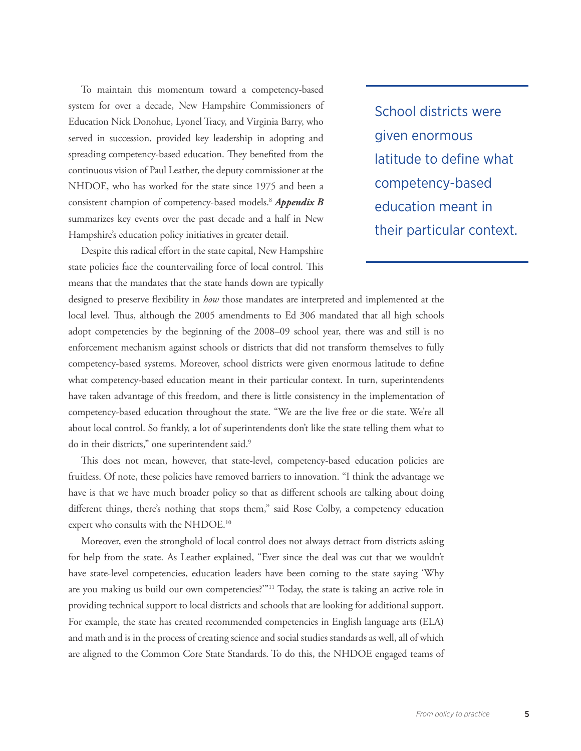To maintain this momentum toward a competency-based system for over a decade, New Hampshire Commissioners of Education Nick Donohue, Lyonel Tracy, and Virginia Barry, who served in succession, provided key leadership in adopting and spreading competency-based education. They benefited from the continuous vision of Paul Leather, the deputy commissioner at the NHDOE, who has worked for the state since 1975 and been a consistent champion of competency-based models.8  *Appendix B* summarizes key events over the past decade and a half in New Hampshire's education policy initiatives in greater detail.

School districts were given enormous latitude to define what competency-based education meant in their particular context.

Despite this radical effort in the state capital, New Hampshire state policies face the countervailing force of local control. This means that the mandates that the state hands down are typically

designed to preserve flexibility in *how* those mandates are interpreted and implemented at the local level. Thus, although the 2005 amendments to Ed 306 mandated that all high schools adopt competencies by the beginning of the 2008–09 school year, there was and still is no enforcement mechanism against schools or districts that did not transform themselves to fully competency-based systems. Moreover, school districts were given enormous latitude to define what competency-based education meant in their particular context. In turn, superintendents have taken advantage of this freedom, and there is little consistency in the implementation of competency-based education throughout the state. "We are the live free or die state. We're all about local control. So frankly, a lot of superintendents don't like the state telling them what to do in their districts," one superintendent said.<sup>9</sup>

This does not mean, however, that state-level, competency-based education policies are fruitless. Of note, these policies have removed barriers to innovation. "I think the advantage we have is that we have much broader policy so that as different schools are talking about doing different things, there's nothing that stops them," said Rose Colby, a competency education expert who consults with the NHDOE.10

Moreover, even the stronghold of local control does not always detract from districts asking for help from the state. As Leather explained, "Ever since the deal was cut that we wouldn't have state-level competencies, education leaders have been coming to the state saying 'Why are you making us build our own competencies?"<sup>311</sup> Today, the state is taking an active role in providing technical support to local districts and schools that are looking for additional support. For example, the state has created recommended competencies in English language arts (ELA) and math and is in the process of creating science and social studies standards as well, all of which are aligned to the Common Core State Standards. To do this, the NHDOE engaged teams of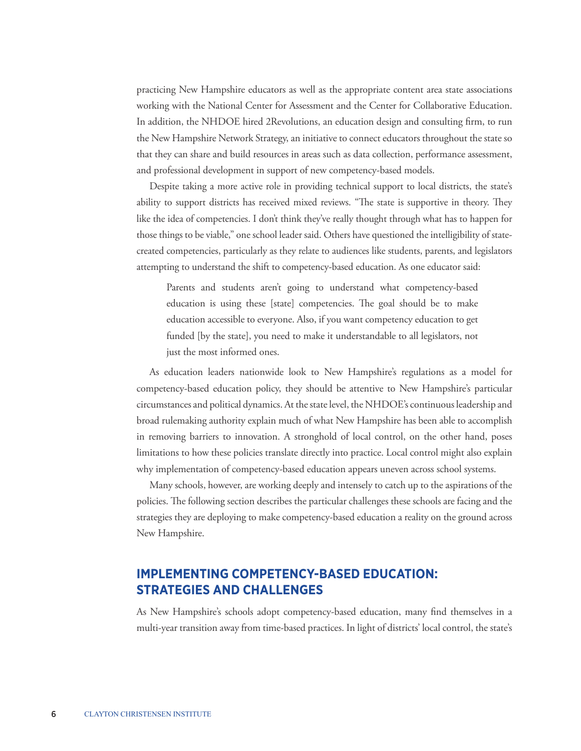practicing New Hampshire educators as well as the appropriate content area state associations working with the National Center for Assessment and the Center for Collaborative Education. In addition, the NHDOE hired 2Revolutions, an education design and consulting firm, to run the New Hampshire Network Strategy, an initiative to connect educators throughout the state so that they can share and build resources in areas such as data collection, performance assessment, and professional development in support of new competency-based models.

Despite taking a more active role in providing technical support to local districts, the state's ability to support districts has received mixed reviews. "The state is supportive in theory. They like the idea of competencies. I don't think they've really thought through what has to happen for those things to be viable," one school leader said. Others have questioned the intelligibility of statecreated competencies, particularly as they relate to audiences like students, parents, and legislators attempting to understand the shift to competency-based education. As one educator said:

Parents and students aren't going to understand what competency-based education is using these [state] competencies. The goal should be to make education accessible to everyone. Also, if you want competency education to get funded [by the state], you need to make it understandable to all legislators, not just the most informed ones.

As education leaders nationwide look to New Hampshire's regulations as a model for competency-based education policy, they should be attentive to New Hampshire's particular circumstances and political dynamics. At the state level, the NHDOE's continuous leadership and broad rulemaking authority explain much of what New Hampshire has been able to accomplish in removing barriers to innovation. A stronghold of local control, on the other hand, poses limitations to how these policies translate directly into practice. Local control might also explain why implementation of competency-based education appears uneven across school systems.

Many schools, however, are working deeply and intensely to catch up to the aspirations of the policies. The following section describes the particular challenges these schools are facing and the strategies they are deploying to make competency-based education a reality on the ground across New Hampshire.

### **Implementing competency-based education: Strategies and challenges**

As New Hampshire's schools adopt competency-based education, many find themselves in a multi-year transition away from time-based practices. In light of districts' local control, the state's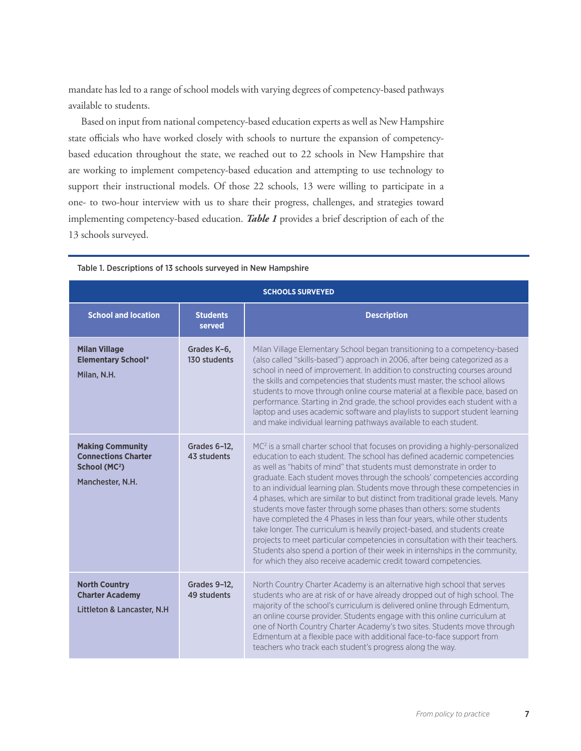mandate has led to a range of school models with varying degrees of competency-based pathways available to students.

Based on input from national competency-based education experts as well as New Hampshire state officials who have worked closely with schools to nurture the expansion of competencybased education throughout the state, we reached out to 22 schools in New Hampshire that are working to implement competency-based education and attempting to use technology to support their instructional models. Of those 22 schools, 13 were willing to participate in a one- to two-hour interview with us to share their progress, challenges, and strategies toward implementing competency-based education. *Table 1* provides a brief description of each of the 13 schools surveyed.

| <b>SCHOOLS SURVEYED</b>                                                                                |                             |                                                                                                                                                                                                                                                                                                                                                                                                                                                                                                                                                                                                                                                                                                                                                                                                                                                                                                                                                                    |  |
|--------------------------------------------------------------------------------------------------------|-----------------------------|--------------------------------------------------------------------------------------------------------------------------------------------------------------------------------------------------------------------------------------------------------------------------------------------------------------------------------------------------------------------------------------------------------------------------------------------------------------------------------------------------------------------------------------------------------------------------------------------------------------------------------------------------------------------------------------------------------------------------------------------------------------------------------------------------------------------------------------------------------------------------------------------------------------------------------------------------------------------|--|
| <b>School and location</b>                                                                             | <b>Students</b><br>served   | <b>Description</b>                                                                                                                                                                                                                                                                                                                                                                                                                                                                                                                                                                                                                                                                                                                                                                                                                                                                                                                                                 |  |
| <b>Milan Village</b><br><b>Elementary School*</b><br>Milan, N.H.                                       | Grades K-6,<br>130 students | Milan Village Elementary School began transitioning to a competency-based<br>(also called "skills-based") approach in 2006, after being categorized as a<br>school in need of improvement. In addition to constructing courses around<br>the skills and competencies that students must master, the school allows<br>students to move through online course material at a flexible pace, based on<br>performance. Starting in 2nd grade, the school provides each student with a<br>laptop and uses academic software and playlists to support student learning<br>and make individual learning pathways available to each student.                                                                                                                                                                                                                                                                                                                                |  |
| <b>Making Community</b><br><b>Connections Charter</b><br>School (MC <sup>2</sup> )<br>Manchester, N.H. | Grades 6-12,<br>43 students | MC <sup>2</sup> is a small charter school that focuses on providing a highly-personalized<br>education to each student. The school has defined academic competencies<br>as well as "habits of mind" that students must demonstrate in order to<br>graduate. Each student moves through the schools' competencies according<br>to an individual learning plan. Students move through these competencies in<br>4 phases, which are similar to but distinct from traditional grade levels. Many<br>students move faster through some phases than others: some students<br>have completed the 4 Phases in less than four years, while other students<br>take longer. The curriculum is heavily project-based, and students create<br>projects to meet particular competencies in consultation with their teachers.<br>Students also spend a portion of their week in internships in the community,<br>for which they also receive academic credit toward competencies. |  |
| <b>North Country</b><br><b>Charter Academy</b><br>Littleton & Lancaster, N.H.                          | Grades 9-12.<br>49 students | North Country Charter Academy is an alternative high school that serves<br>students who are at risk of or have already dropped out of high school. The<br>majority of the school's curriculum is delivered online through Edmentum,<br>an online course provider. Students engage with this online curriculum at<br>one of North Country Charter Academy's two sites. Students move through<br>Edmentum at a flexible pace with additional face-to-face support from<br>teachers who track each student's progress along the way.                                                                                                                                                                                                                                                                                                                                                                                                                                  |  |

#### Table 1. Descriptions of 13 schools surveyed in New Hampshire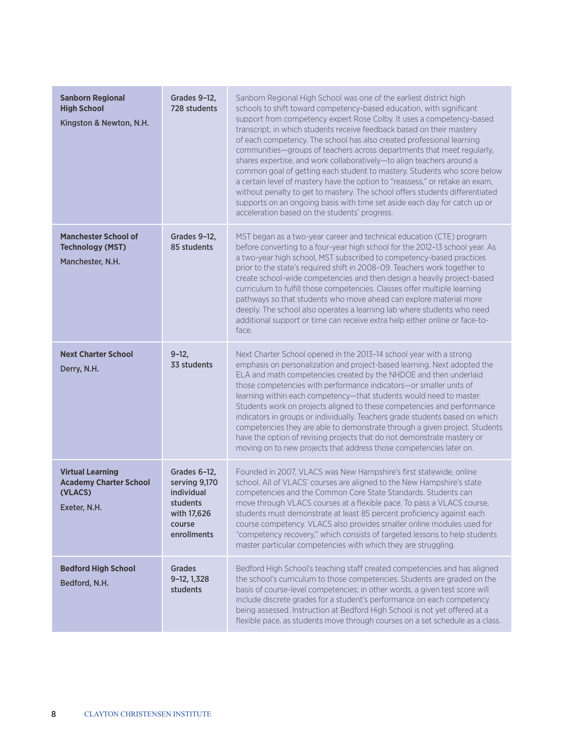| <b>Sanborn Regional</b><br><b>High School</b><br>Kingston & Newton, N.H.            | Grades 9-12,<br>728 students                                                                    | Sanborn Regional High School was one of the earliest district high<br>schools to shift toward competency-based education, with significant<br>support from competency expert Rose Colby. It uses a competency-based<br>transcript, in which students receive feedback based on their mastery<br>of each competency. The school has also created professional learning<br>communities-groups of teachers across departments that meet regularly,<br>shares expertise, and work collaboratively-to align teachers around a<br>common goal of getting each student to mastery. Students who score below<br>a certain level of mastery have the option to "reassess," or retake an exam,<br>without penalty to get to mastery. The school offers students differentiated<br>supports on an ongoing basis with time set aside each day for catch up or<br>acceleration based on the students' progress. |
|-------------------------------------------------------------------------------------|-------------------------------------------------------------------------------------------------|----------------------------------------------------------------------------------------------------------------------------------------------------------------------------------------------------------------------------------------------------------------------------------------------------------------------------------------------------------------------------------------------------------------------------------------------------------------------------------------------------------------------------------------------------------------------------------------------------------------------------------------------------------------------------------------------------------------------------------------------------------------------------------------------------------------------------------------------------------------------------------------------------|
| <b>Manchester School of</b><br><b>Technology (MST)</b><br>Manchester, N.H.          | Grades 9-12,<br>85 students                                                                     | MST began as a two-year career and technical education (CTE) program<br>before converting to a four-year high school for the 2012-13 school year. As<br>a two-year high school, MST subscribed to competency-based practices<br>prior to the state's required shift in 2008-09. Teachers work together to<br>create school-wide competencies and then design a heavily project-based<br>curriculum to fulfill those competencies. Classes offer multiple learning<br>pathways so that students who move ahead can explore material more<br>deeply. The school also operates a learning lab where students who need<br>additional support or time can receive extra help either online or face-to-<br>face.                                                                                                                                                                                         |
| <b>Next Charter School</b><br>Derry, N.H.                                           | $9 - 12$<br>33 students                                                                         | Next Charter School opened in the 2013-14 school year with a strong<br>emphasis on personalization and project-based learning. Next adopted the<br>ELA and math competencies created by the NHDOE and then underlaid<br>those competencies with performance indicators-or smaller units of<br>learning within each competency-that students would need to master.<br>Students work on projects aligned to these competencies and performance<br>indicators in groups or individually. Teachers grade students based on which<br>competencies they are able to demonstrate through a given project. Students<br>have the option of revising projects that do not demonstrate mastery or<br>moving on to new projects that address those competencies later on.                                                                                                                                      |
| <b>Virtual Learning</b><br><b>Academy Charter School</b><br>(VLACS)<br>Exeter, N.H. | Grades 6-12,<br>serving 9,170<br>individual<br>students<br>with 17,626<br>course<br>enrollments | Founded in 2007, VLACS was New Hampshire's first statewide, online<br>school. All of VLACS' courses are aligned to the New Hampshire's state<br>competencies and the Common Core State Standards. Students can<br>move through VLACS courses at a flexible pace. To pass a VLACS course,<br>students must demonstrate at least 85 percent proficiency against each<br>course competency. VLACS also provides smaller online modules used for<br>"competency recovery," which consists of targeted lessons to help students<br>master particular competencies with which they are struggling.                                                                                                                                                                                                                                                                                                       |
| <b>Bedford High School</b><br>Bedford, N.H.                                         | <b>Grades</b><br>9-12, 1,328<br>students                                                        | Bedford High School's teaching staff created competencies and has aligned<br>the school's curriculum to those competencies. Students are graded on the<br>basis of course-level competencies; in other words, a given test score will<br>include discrete grades for a student's performance on each competency<br>being assessed. Instruction at Bedford High School is not yet offered at a<br>flexible pace, as students move through courses on a set schedule as a class.                                                                                                                                                                                                                                                                                                                                                                                                                     |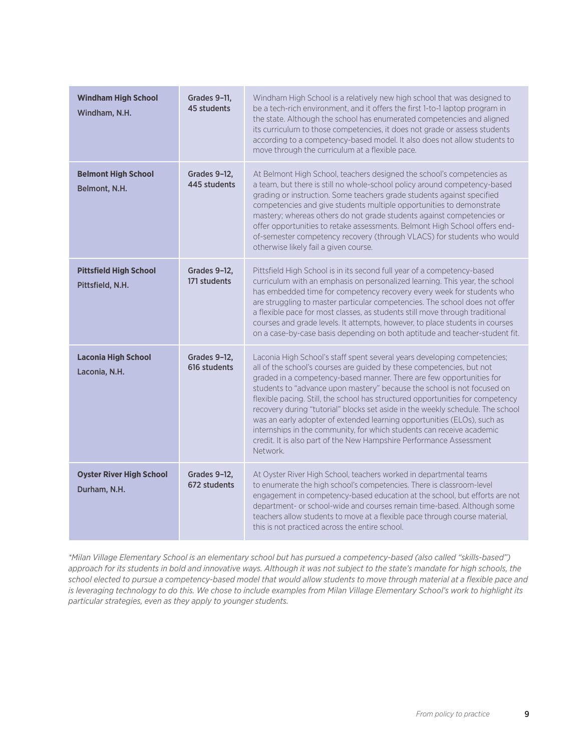| <b>Windham High School</b><br>Windham, N.H.       | Grades 9-11,<br>45 students  | Windham High School is a relatively new high school that was designed to<br>be a tech-rich environment, and it offers the first 1-to-1 laptop program in<br>the state. Although the school has enumerated competencies and aligned<br>its curriculum to those competencies, it does not grade or assess students<br>according to a competency-based model. It also does not allow students to<br>move through the curriculum at a flexible pace.                                                                                                                                                                                                                                                                |
|---------------------------------------------------|------------------------------|-----------------------------------------------------------------------------------------------------------------------------------------------------------------------------------------------------------------------------------------------------------------------------------------------------------------------------------------------------------------------------------------------------------------------------------------------------------------------------------------------------------------------------------------------------------------------------------------------------------------------------------------------------------------------------------------------------------------|
| <b>Belmont High School</b><br>Belmont, N.H.       | Grades 9-12,<br>445 students | At Belmont High School, teachers designed the school's competencies as<br>a team, but there is still no whole-school policy around competency-based<br>grading or instruction. Some teachers grade students against specified<br>competencies and give students multiple opportunities to demonstrate<br>mastery; whereas others do not grade students against competencies or<br>offer opportunities to retake assessments. Belmont High School offers end-<br>of-semester competency recovery (through VLACS) for students who would<br>otherwise likely fail a given course.                                                                                                                                 |
| <b>Pittsfield High School</b><br>Pittsfield, N.H. | Grades 9-12,<br>171 students | Pittsfield High School is in its second full year of a competency-based<br>curriculum with an emphasis on personalized learning. This year, the school<br>has embedded time for competency recovery every week for students who<br>are struggling to master particular competencies. The school does not offer<br>a flexible pace for most classes, as students still move through traditional<br>courses and grade levels. It attempts, however, to place students in courses<br>on a case-by-case basis depending on both aptitude and teacher-student fit.                                                                                                                                                   |
| <b>Laconia High School</b><br>Laconia, N.H.       | Grades 9-12,<br>616 students | Laconia High School's staff spent several years developing competencies;<br>all of the school's courses are guided by these competencies, but not<br>graded in a competency-based manner. There are few opportunities for<br>students to "advance upon mastery" because the school is not focused on<br>flexible pacing. Still, the school has structured opportunities for competency<br>recovery during "tutorial" blocks set aside in the weekly schedule. The school<br>was an early adopter of extended learning opportunities (ELOs), such as<br>internships in the community, for which students can receive academic<br>credit. It is also part of the New Hampshire Performance Assessment<br>Network. |
| <b>Oyster River High School</b><br>Durham, N.H.   | Grades 9-12,<br>672 students | At Oyster River High School, teachers worked in departmental teams<br>to enumerate the high school's competencies. There is classroom-level<br>engagement in competency-based education at the school, but efforts are not<br>department- or school-wide and courses remain time-based. Although some<br>teachers allow students to move at a flexible pace through course material,<br>this is not practiced across the entire school.                                                                                                                                                                                                                                                                         |

*\*Milan Village Elementary School is an elementary school but has pursued a competency-based (also called "skills-based") approach for its students in bold and innovative ways. Although it was not subject to the state's mandate for high schools, the school elected to pursue a competency-based model that would allow students to move through material at a flexible pace and is leveraging technology to do this. We chose to include examples from Milan Village Elementary School's work to highlight its particular strategies, even as they apply to younger students.*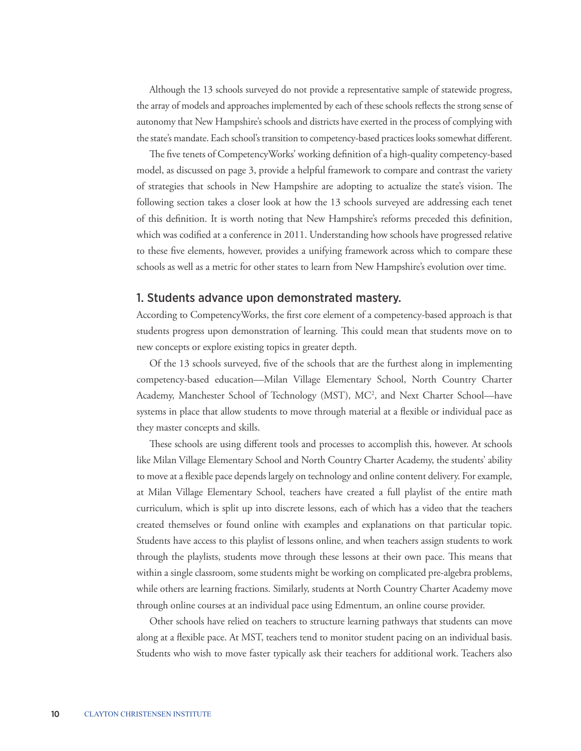Although the 13 schools surveyed do not provide a representative sample of statewide progress, the array of models and approaches implemented by each of these schools reflects the strong sense of autonomy that New Hampshire's schools and districts have exerted in the process of complying with the state's mandate. Each school's transition to competency-based practices looks somewhat different.

The five tenets of CompetencyWorks' working definition of a high-quality competency-based model, as discussed on page 3, provide a helpful framework to compare and contrast the variety of strategies that schools in New Hampshire are adopting to actualize the state's vision. The following section takes a closer look at how the 13 schools surveyed are addressing each tenet of this definition. It is worth noting that New Hampshire's reforms preceded this definition, which was codified at a conference in 2011. Understanding how schools have progressed relative to these five elements, however, provides a unifying framework across which to compare these schools as well as a metric for other states to learn from New Hampshire's evolution over time.

#### 1. Students advance upon demonstrated mastery.

According to CompetencyWorks, the first core element of a competency-based approach is that students progress upon demonstration of learning. This could mean that students move on to new concepts or explore existing topics in greater depth.

Of the 13 schools surveyed, five of the schools that are the furthest along in implementing competency-based education—Milan Village Elementary School, North Country Charter Academy, Manchester School of Technology (MST), MC2 , and Next Charter School—have systems in place that allow students to move through material at a flexible or individual pace as they master concepts and skills.

These schools are using different tools and processes to accomplish this, however. At schools like Milan Village Elementary School and North Country Charter Academy, the students' ability to move at a flexible pace depends largely on technology and online content delivery. For example, at Milan Village Elementary School, teachers have created a full playlist of the entire math curriculum, which is split up into discrete lessons, each of which has a video that the teachers created themselves or found online with examples and explanations on that particular topic. Students have access to this playlist of lessons online, and when teachers assign students to work through the playlists, students move through these lessons at their own pace. This means that within a single classroom, some students might be working on complicated pre-algebra problems, while others are learning fractions. Similarly, students at North Country Charter Academy move through online courses at an individual pace using Edmentum, an online course provider.

Other schools have relied on teachers to structure learning pathways that students can move along at a flexible pace. At MST, teachers tend to monitor student pacing on an individual basis. Students who wish to move faster typically ask their teachers for additional work. Teachers also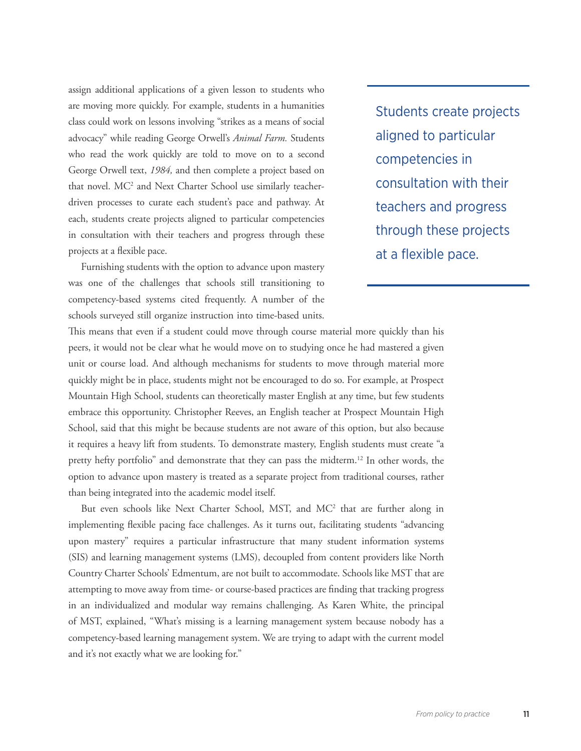assign additional applications of a given lesson to students who are moving more quickly. For example, students in a humanities class could work on lessons involving "strikes as a means of social advocacy" while reading George Orwell's *Animal Farm.* Students who read the work quickly are told to move on to a second George Orwell text, *1984,* and then complete a project based on that novel. MC<sup>2</sup> and Next Charter School use similarly teacherdriven processes to curate each student's pace and pathway. At each, students create projects aligned to particular competencies in consultation with their teachers and progress through these projects at a flexible pace.

aligned to particular competencies in consultation with their teachers and progress through these projects at a flexible pace.

Students create projects

Furnishing students with the option to advance upon mastery was one of the challenges that schools still transitioning to competency-based systems cited frequently. A number of the schools surveyed still organize instruction into time-based units.

This means that even if a student could move through course material more quickly than his peers, it would not be clear what he would move on to studying once he had mastered a given unit or course load. And although mechanisms for students to move through material more quickly might be in place, students might not be encouraged to do so. For example, at Prospect Mountain High School, students can theoretically master English at any time, but few students embrace this opportunity. Christopher Reeves, an English teacher at Prospect Mountain High School, said that this might be because students are not aware of this option, but also because it requires a heavy lift from students. To demonstrate mastery, English students must create "a pretty hefty portfolio" and demonstrate that they can pass the midterm.12 In other words, the option to advance upon mastery is treated as a separate project from traditional courses, rather than being integrated into the academic model itself.

But even schools like Next Charter School, MST, and MC2 that are further along in implementing flexible pacing face challenges. As it turns out, facilitating students "advancing upon mastery" requires a particular infrastructure that many student information systems (SIS) and learning management systems (LMS), decoupled from content providers like North Country Charter Schools' Edmentum, are not built to accommodate. Schools like MST that are attempting to move away from time- or course-based practices are finding that tracking progress in an individualized and modular way remains challenging. As Karen White, the principal of MST, explained, "What's missing is a learning management system because nobody has a competency-based learning management system. We are trying to adapt with the current model and it's not exactly what we are looking for."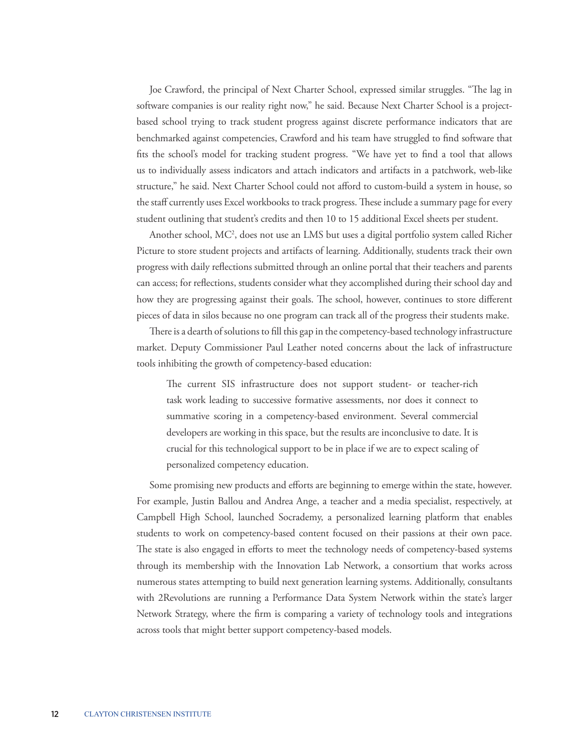Joe Crawford, the principal of Next Charter School, expressed similar struggles. "The lag in software companies is our reality right now," he said. Because Next Charter School is a projectbased school trying to track student progress against discrete performance indicators that are benchmarked against competencies, Crawford and his team have struggled to find software that fits the school's model for tracking student progress. "We have yet to find a tool that allows us to individually assess indicators and attach indicators and artifacts in a patchwork, web-like structure," he said. Next Charter School could not afford to custom-build a system in house, so the staff currently uses Excel workbooks to track progress. These include a summary page for every student outlining that student's credits and then 10 to 15 additional Excel sheets per student.

Another school, MC2 , does not use an LMS but uses a digital portfolio system called Richer Picture to store student projects and artifacts of learning. Additionally, students track their own progress with daily reflections submitted through an online portal that their teachers and parents can access; for reflections, students consider what they accomplished during their school day and how they are progressing against their goals. The school, however, continues to store different pieces of data in silos because no one program can track all of the progress their students make.

There is a dearth of solutions to fill this gap in the competency-based technology infrastructure market. Deputy Commissioner Paul Leather noted concerns about the lack of infrastructure tools inhibiting the growth of competency-based education:

The current SIS infrastructure does not support student- or teacher-rich task work leading to successive formative assessments, nor does it connect to summative scoring in a competency-based environment. Several commercial developers are working in this space, but the results are inconclusive to date. It is crucial for this technological support to be in place if we are to expect scaling of personalized competency education.

Some promising new products and efforts are beginning to emerge within the state, however. For example, Justin Ballou and Andrea Ange, a teacher and a media specialist, respectively, at Campbell High School, launched Socrademy, a personalized learning platform that enables students to work on competency-based content focused on their passions at their own pace. The state is also engaged in efforts to meet the technology needs of competency-based systems through its membership with the Innovation Lab Network, a consortium that works across numerous states attempting to build next generation learning systems. Additionally, consultants with 2Revolutions are running a Performance Data System Network within the state's larger Network Strategy, where the firm is comparing a variety of technology tools and integrations across tools that might better support competency-based models.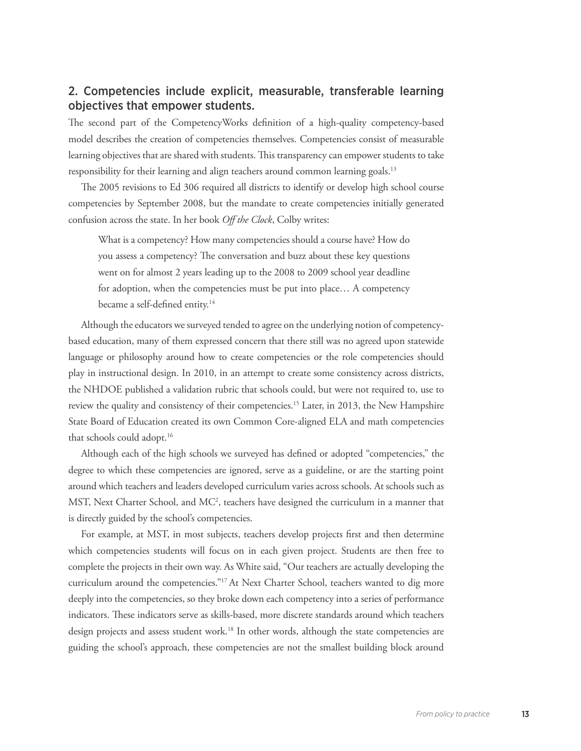### 2. Competencies include explicit, measurable, transferable learning objectives that empower students.

The second part of the CompetencyWorks definition of a high-quality competency-based model describes the creation of competencies themselves. Competencies consist of measurable learning objectives that are shared with students. This transparency can empower students to take responsibility for their learning and align teachers around common learning goals.<sup>13</sup>

The 2005 revisions to Ed 306 required all districts to identify or develop high school course competencies by September 2008, but the mandate to create competencies initially generated confusion across the state. In her book *Off the Clock*, Colby writes:

What is a competency? How many competencies should a course have? How do you assess a competency? The conversation and buzz about these key questions went on for almost 2 years leading up to the 2008 to 2009 school year deadline for adoption, when the competencies must be put into place… A competency became a self-defined entity.<sup>14</sup>

Although the educators we surveyed tended to agree on the underlying notion of competencybased education, many of them expressed concern that there still was no agreed upon statewide language or philosophy around how to create competencies or the role competencies should play in instructional design. In 2010, in an attempt to create some consistency across districts, the NHDOE published a validation rubric that schools could, but were not required to, use to review the quality and consistency of their competencies.15 Later, in 2013, the New Hampshire State Board of Education created its own Common Core-aligned ELA and math competencies that schools could adopt.<sup>16</sup>

Although each of the high schools we surveyed has defined or adopted "competencies," the degree to which these competencies are ignored, serve as a guideline, or are the starting point around which teachers and leaders developed curriculum varies across schools. At schools such as MST, Next Charter School, and MC2 , teachers have designed the curriculum in a manner that is directly guided by the school's competencies.

For example, at MST, in most subjects, teachers develop projects first and then determine which competencies students will focus on in each given project. Students are then free to complete the projects in their own way. As White said, "Our teachers are actually developing the curriculum around the competencies."17 At Next Charter School, teachers wanted to dig more deeply into the competencies, so they broke down each competency into a series of performance indicators. These indicators serve as skills-based, more discrete standards around which teachers design projects and assess student work.<sup>18</sup> In other words, although the state competencies are guiding the school's approach, these competencies are not the smallest building block around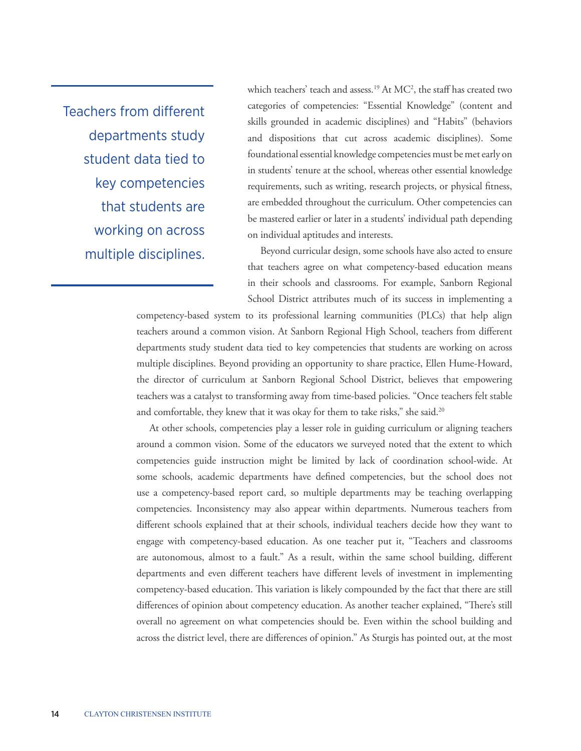Teachers from different departments study student data tied to key competencies that students are working on across multiple disciplines.

which teachers' teach and assess. $^{19}$  At MC<sup>2</sup>, the staff has created two categories of competencies: "Essential Knowledge" (content and skills grounded in academic disciplines) and "Habits" (behaviors and dispositions that cut across academic disciplines). Some foundational essential knowledge competencies must be met early on in students' tenure at the school, whereas other essential knowledge requirements, such as writing, research projects, or physical fitness, are embedded throughout the curriculum. Other competencies can be mastered earlier or later in a students' individual path depending on individual aptitudes and interests.

Beyond curricular design, some schools have also acted to ensure that teachers agree on what competency-based education means in their schools and classrooms. For example, Sanborn Regional School District attributes much of its success in implementing a

competency-based system to its professional learning communities (PLCs) that help align teachers around a common vision. At Sanborn Regional High School, teachers from different departments study student data tied to key competencies that students are working on across multiple disciplines. Beyond providing an opportunity to share practice, Ellen Hume-Howard, the director of curriculum at Sanborn Regional School District, believes that empowering teachers was a catalyst to transforming away from time-based policies. "Once teachers felt stable and comfortable, they knew that it was okay for them to take risks," she said.<sup>20</sup>

At other schools, competencies play a lesser role in guiding curriculum or aligning teachers around a common vision. Some of the educators we surveyed noted that the extent to which competencies guide instruction might be limited by lack of coordination school-wide. At some schools, academic departments have defined competencies, but the school does not use a competency-based report card, so multiple departments may be teaching overlapping competencies. Inconsistency may also appear within departments. Numerous teachers from different schools explained that at their schools, individual teachers decide how they want to engage with competency-based education. As one teacher put it, "Teachers and classrooms are autonomous, almost to a fault." As a result, within the same school building, different departments and even different teachers have different levels of investment in implementing competency-based education. This variation is likely compounded by the fact that there are still differences of opinion about competency education. As another teacher explained, "There's still overall no agreement on what competencies should be. Even within the school building and across the district level, there are differences of opinion." As Sturgis has pointed out, at the most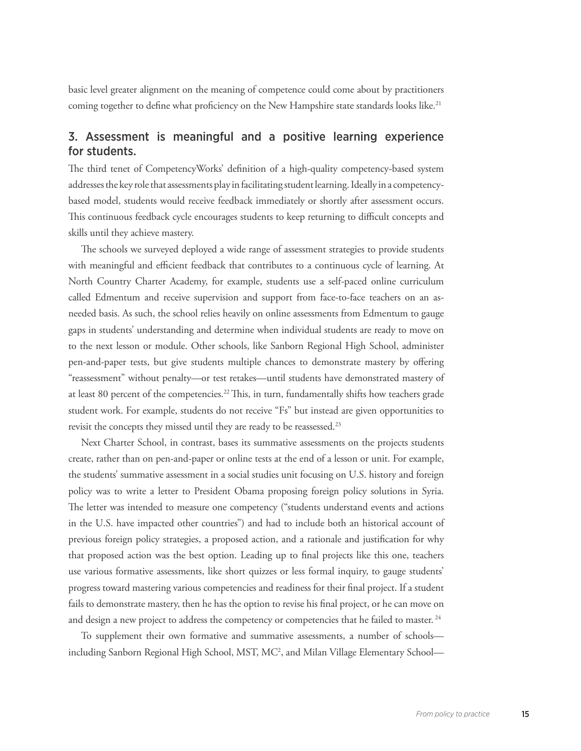basic level greater alignment on the meaning of competence could come about by practitioners coming together to define what proficiency on the New Hampshire state standards looks like.<sup>21</sup>

### 3. Assessment is meaningful and a positive learning experience for students.

The third tenet of CompetencyWorks' definition of a high-quality competency-based system addresses the key role that assessments play in facilitating student learning. Ideally in a competencybased model, students would receive feedback immediately or shortly after assessment occurs. This continuous feedback cycle encourages students to keep returning to difficult concepts and skills until they achieve mastery.

The schools we surveyed deployed a wide range of assessment strategies to provide students with meaningful and efficient feedback that contributes to a continuous cycle of learning. At North Country Charter Academy, for example, students use a self-paced online curriculum called Edmentum and receive supervision and support from face-to-face teachers on an asneeded basis. As such, the school relies heavily on online assessments from Edmentum to gauge gaps in students' understanding and determine when individual students are ready to move on to the next lesson or module. Other schools, like Sanborn Regional High School, administer pen-and-paper tests, but give students multiple chances to demonstrate mastery by offering "reassessment" without penalty—or test retakes—until students have demonstrated mastery of at least 80 percent of the competencies.22 This, in turn, fundamentally shifts how teachers grade student work. For example, students do not receive "Fs" but instead are given opportunities to revisit the concepts they missed until they are ready to be reassessed.<sup>23</sup>

Next Charter School, in contrast, bases its summative assessments on the projects students create, rather than on pen-and-paper or online tests at the end of a lesson or unit. For example, the students' summative assessment in a social studies unit focusing on U.S. history and foreign policy was to write a letter to President Obama proposing foreign policy solutions in Syria. The letter was intended to measure one competency ("students understand events and actions in the U.S. have impacted other countries") and had to include both an historical account of previous foreign policy strategies, a proposed action, and a rationale and justification for why that proposed action was the best option. Leading up to final projects like this one, teachers use various formative assessments, like short quizzes or less formal inquiry, to gauge students' progress toward mastering various competencies and readiness for their final project. If a student fails to demonstrate mastery, then he has the option to revise his final project, or he can move on and design a new project to address the competency or competencies that he failed to master.<sup>24</sup>

To supplement their own formative and summative assessments, a number of schools including Sanborn Regional High School, MST, MC2 , and Milan Village Elementary School—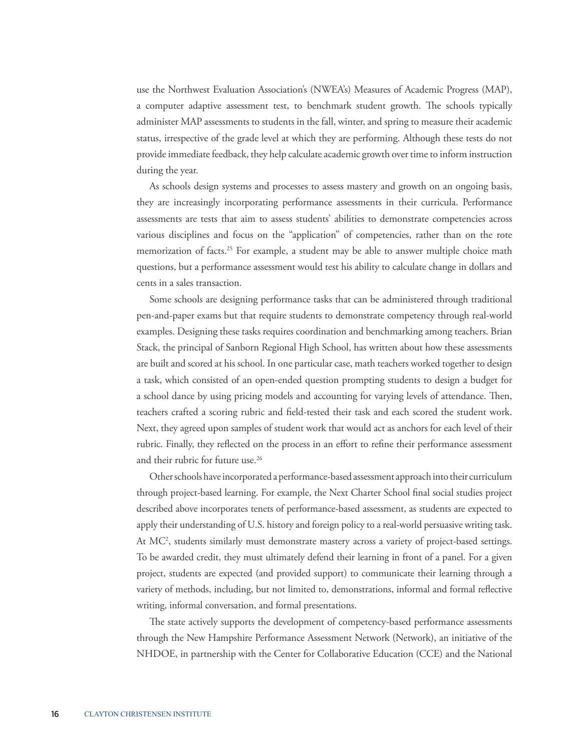use the Northwest Evaluation Association's (NWEA's) Measures of Academic Progress (MAP), a computer adaptive assessment test, to benchmark student growth. The schools typically administer MAP assessments to students in the fall, winter, and spring to measure their academic status, irrespective of the grade level at which they are performing. Although these tests do not provide immediate feedback, they help calculate academic growth over time to inform instruction during the year.

As schools design systems and processes to assess mastery and growth on an ongoing basis, they are increasingly incorporating performance assessments in their curricula. Performance assessments are tests that aim to assess students' abilities to demonstrate competencies across various disciplines and focus on the "application" of competencies, rather than on the rote memorization of facts.<sup>25</sup> For example, a student may be able to answer multiple choice math questions, but a performance assessment would test his ability to calculate change in dollars and cents in a sales transaction.

Some schools are designing performance tasks that can be administered through traditional pen-and-paper exams but that require students to demonstrate competency through real-world examples. Designing these tasks requires coordination and benchmarking among teachers. Brian Stack, the principal of Sanborn Regional High School, has written about how these assessments are built and scored at his school. In one particular case, math teachers worked together to design a task, which consisted of an open-ended question prompting students to design a budget for a school dance by using pricing models and accounting for varying levels of attendance. Then, teachers crafted a scoring rubric and field-tested their task and each scored the student work. Next, they agreed upon samples of student work that would act as anchors for each level of their rubric. Finally, they reflected on the process in an effort to refine their performance assessment and their rubric for future use.<sup>26</sup>

Other schools have incorporated a performance-based assessment approach into their curriculum through project-based learning. For example, the Next Charter School final social studies project described above incorporates tenets of performance-based assessment, as students are expected to apply their understanding of U.S. history and foreign policy to a real-world persuasive writing task. At MC<sup>2</sup>, students similarly must demonstrate mastery across a variety of project-based settings. To be awarded credit, they must ultimately defend their learning in front of a panel. For a given project, students are expected (and provided support) to communicate their learning through a variety of methods, including, but not limited to, demonstrations, informal and formal reflective writing, informal conversation, and formal presentations.

The state actively supports the development of competency-based performance assessments through the New Hampshire Performance Assessment Network (Network), an initiative of the NHDOE, in partnership with the Center for Collaborative Education (CCE) and the National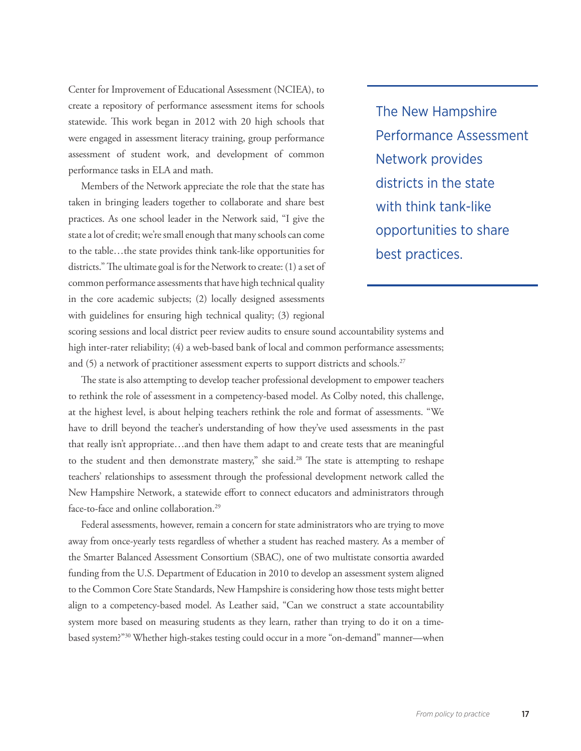Center for Improvement of Educational Assessment (NCIEA), to create a repository of performance assessment items for schools statewide. This work began in 2012 with 20 high schools that were engaged in assessment literacy training, group performance assessment of student work, and development of common performance tasks in ELA and math.

Members of the Network appreciate the role that the state has taken in bringing leaders together to collaborate and share best practices. As one school leader in the Network said, "I give the state a lot of credit; we're small enough that many schools can come to the table…the state provides think tank-like opportunities for districts." The ultimate goal is for the Network to create: (1) a set of common performance assessments that have high technical quality in the core academic subjects; (2) locally designed assessments with guidelines for ensuring high technical quality; (3) regional

The New Hampshire Performance Assessment Network provides districts in the state with think tank-like opportunities to share best practices.

scoring sessions and local district peer review audits to ensure sound accountability systems and high inter-rater reliability; (4) a web-based bank of local and common performance assessments; and (5) a network of practitioner assessment experts to support districts and schools.<sup>27</sup>

The state is also attempting to develop teacher professional development to empower teachers to rethink the role of assessment in a competency-based model. As Colby noted, this challenge, at the highest level, is about helping teachers rethink the role and format of assessments. "We have to drill beyond the teacher's understanding of how they've used assessments in the past that really isn't appropriate…and then have them adapt to and create tests that are meaningful to the student and then demonstrate mastery," she said.<sup>28</sup> The state is attempting to reshape teachers' relationships to assessment through the professional development network called the New Hampshire Network, a statewide effort to connect educators and administrators through face-to-face and online collaboration.<sup>29</sup>

Federal assessments, however, remain a concern for state administrators who are trying to move away from once-yearly tests regardless of whether a student has reached mastery. As a member of the Smarter Balanced Assessment Consortium (SBAC), one of two multistate consortia awarded funding from the U.S. Department of Education in 2010 to develop an assessment system aligned to the Common Core State Standards, New Hampshire is considering how those tests might better align to a competency-based model. As Leather said, "Can we construct a state accountability system more based on measuring students as they learn, rather than trying to do it on a timebased system?"30 Whether high-stakes testing could occur in a more "on-demand" manner—when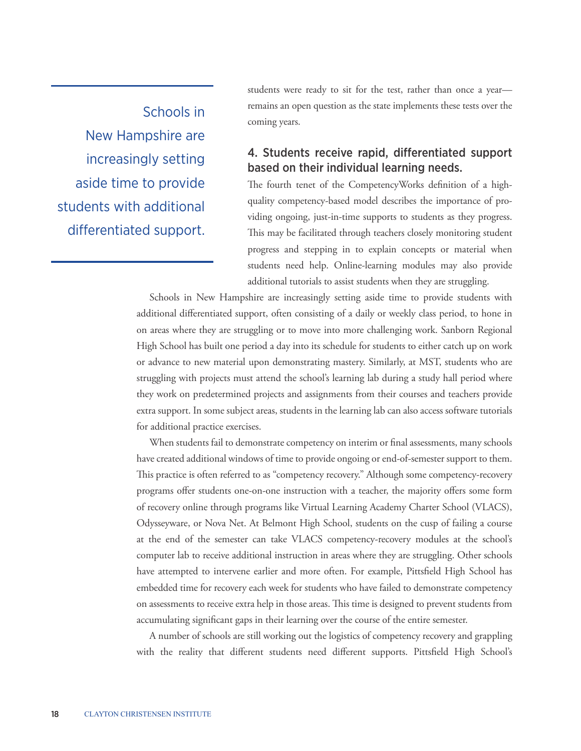## Schools in New Hampshire are increasingly setting aside time to provide students with additional differentiated support.

students were ready to sit for the test, rather than once a year remains an open question as the state implements these tests over the coming years.

### 4. Students receive rapid, differentiated support based on their individual learning needs.

The fourth tenet of the CompetencyWorks definition of a highquality competency-based model describes the importance of providing ongoing, just-in-time supports to students as they progress. This may be facilitated through teachers closely monitoring student progress and stepping in to explain concepts or material when students need help. Online-learning modules may also provide additional tutorials to assist students when they are struggling.

Schools in New Hampshire are increasingly setting aside time to provide students with additional differentiated support, often consisting of a daily or weekly class period, to hone in on areas where they are struggling or to move into more challenging work. Sanborn Regional High School has built one period a day into its schedule for students to either catch up on work or advance to new material upon demonstrating mastery. Similarly, at MST, students who are struggling with projects must attend the school's learning lab during a study hall period where they work on predetermined projects and assignments from their courses and teachers provide extra support. In some subject areas, students in the learning lab can also access software tutorials for additional practice exercises.

When students fail to demonstrate competency on interim or final assessments, many schools have created additional windows of time to provide ongoing or end-of-semester support to them. This practice is often referred to as "competency recovery." Although some competency-recovery programs offer students one-on-one instruction with a teacher, the majority offers some form of recovery online through programs like Virtual Learning Academy Charter School (VLACS), Odysseyware, or Nova Net. At Belmont High School, students on the cusp of failing a course at the end of the semester can take VLACS competency-recovery modules at the school's computer lab to receive additional instruction in areas where they are struggling. Other schools have attempted to intervene earlier and more often. For example, Pittsfield High School has embedded time for recovery each week for students who have failed to demonstrate competency on assessments to receive extra help in those areas. This time is designed to prevent students from accumulating significant gaps in their learning over the course of the entire semester.

A number of schools are still working out the logistics of competency recovery and grappling with the reality that different students need different supports. Pittsfield High School's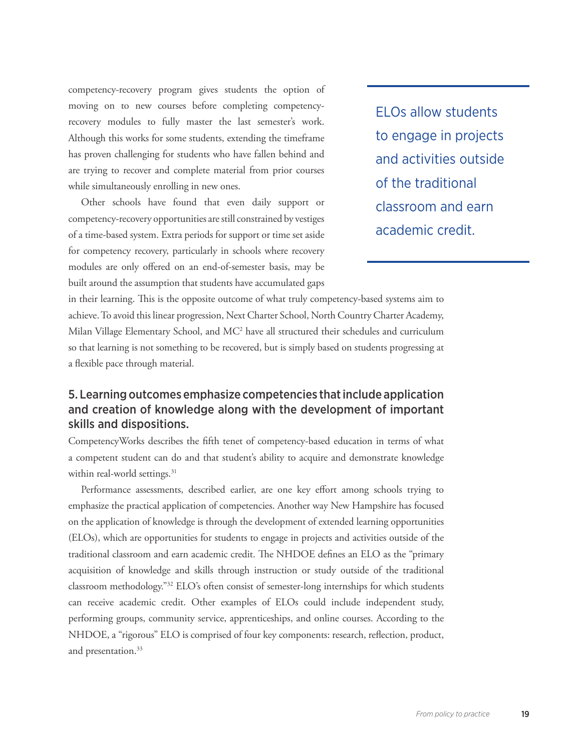competency-recovery program gives students the option of moving on to new courses before completing competencyrecovery modules to fully master the last semester's work. Although this works for some students, extending the timeframe has proven challenging for students who have fallen behind and are trying to recover and complete material from prior courses while simultaneously enrolling in new ones.

Other schools have found that even daily support or competency-recovery opportunities are still constrained by vestiges of a time-based system. Extra periods for support or time set aside for competency recovery, particularly in schools where recovery modules are only offered on an end-of-semester basis, may be built around the assumption that students have accumulated gaps

ELOs allow students to engage in projects and activities outside of the traditional classroom and earn academic credit.

in their learning. This is the opposite outcome of what truly competency-based systems aim to achieve. To avoid this linear progression, Next Charter School, North Country Charter Academy, Milan Village Elementary School, and MC2 have all structured their schedules and curriculum so that learning is not something to be recovered, but is simply based on students progressing at a flexible pace through material.

### 5. Learning outcomes emphasize competencies that include application and creation of knowledge along with the development of important skills and dispositions.

CompetencyWorks describes the fifth tenet of competency-based education in terms of what a competent student can do and that student's ability to acquire and demonstrate knowledge within real-world settings.<sup>31</sup>

Performance assessments, described earlier, are one key effort among schools trying to emphasize the practical application of competencies. Another way New Hampshire has focused on the application of knowledge is through the development of extended learning opportunities (ELOs), which are opportunities for students to engage in projects and activities outside of the traditional classroom and earn academic credit. The NHDOE defines an ELO as the "primary acquisition of knowledge and skills through instruction or study outside of the traditional classroom methodology."32 ELO's often consist of semester-long internships for which students can receive academic credit. Other examples of ELOs could include independent study, performing groups, community service, apprenticeships, and online courses. According to the NHDOE, a "rigorous" ELO is comprised of four key components: research, reflection, product, and presentation.<sup>33</sup>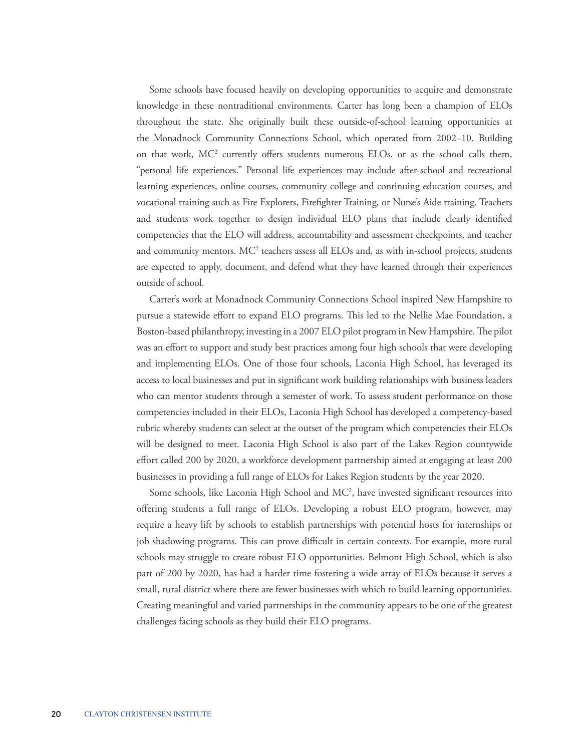Some schools have focused heavily on developing opportunities to acquire and demonstrate knowledge in these nontraditional environments. Carter has long been a champion of ELOs throughout the state. She originally built these outside-of-school learning opportunities at the Monadnock Community Connections School, which operated from 2002–10. Building on that work, MC<sup>2</sup> currently offers students numerous ELOs, or as the school calls them, "personal life experiences." Personal life experiences may include after-school and recreational learning experiences, online courses, community college and continuing education courses, and vocational training such as Fire Explorers, Firefighter Training, or Nurse's Aide training. Teachers and students work together to design individual ELO plans that include clearly identified competencies that the ELO will address, accountability and assessment checkpoints, and teacher and community mentors.  $MC^2$  teachers assess all ELOs and, as with in-school projects, students are expected to apply, document, and defend what they have learned through their experiences outside of school.

Carter's work at Monadnock Community Connections School inspired New Hampshire to pursue a statewide effort to expand ELO programs. This led to the Nellie Mae Foundation, a Boston-based philanthropy, investing in a 2007 ELO pilot program in New Hampshire. The pilot was an effort to support and study best practices among four high schools that were developing and implementing ELOs. One of those four schools, Laconia High School, has leveraged its access to local businesses and put in significant work building relationships with business leaders who can mentor students through a semester of work. To assess student performance on those competencies included in their ELOs, Laconia High School has developed a competency-based rubric whereby students can select at the outset of the program which competencies their ELOs will be designed to meet. Laconia High School is also part of the Lakes Region countywide effort called 200 by 2020, a workforce development partnership aimed at engaging at least 200 businesses in providing a full range of ELOs for Lakes Region students by the year 2020.

Some schools, like Laconia High School and MC2 , have invested significant resources into offering students a full range of ELOs. Developing a robust ELO program, however, may require a heavy lift by schools to establish partnerships with potential hosts for internships or job shadowing programs. This can prove difficult in certain contexts. For example, more rural schools may struggle to create robust ELO opportunities. Belmont High School, which is also part of 200 by 2020, has had a harder time fostering a wide array of ELOs because it serves a small, rural district where there are fewer businesses with which to build learning opportunities. Creating meaningful and varied partnerships in the community appears to be one of the greatest challenges facing schools as they build their ELO programs.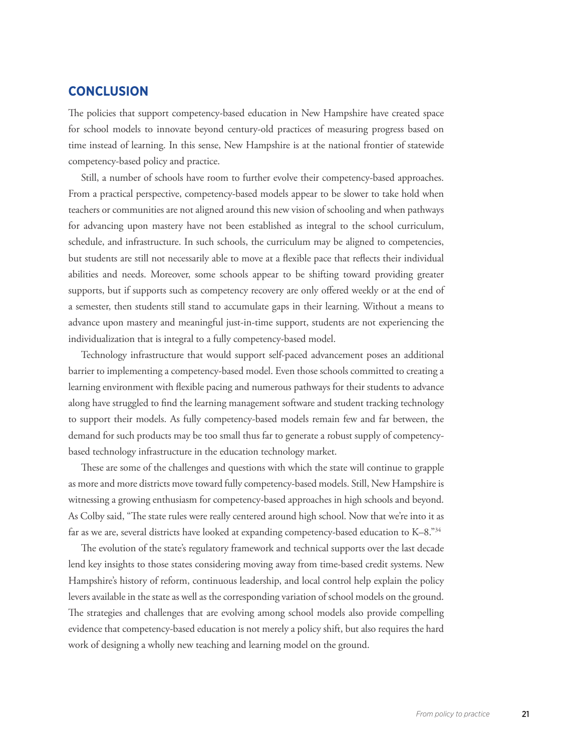### **Conclusion**

The policies that support competency-based education in New Hampshire have created space for school models to innovate beyond century-old practices of measuring progress based on time instead of learning. In this sense, New Hampshire is at the national frontier of statewide competency-based policy and practice.

Still, a number of schools have room to further evolve their competency-based approaches. From a practical perspective, competency-based models appear to be slower to take hold when teachers or communities are not aligned around this new vision of schooling and when pathways for advancing upon mastery have not been established as integral to the school curriculum, schedule, and infrastructure. In such schools, the curriculum may be aligned to competencies, but students are still not necessarily able to move at a flexible pace that reflects their individual abilities and needs. Moreover, some schools appear to be shifting toward providing greater supports, but if supports such as competency recovery are only offered weekly or at the end of a semester, then students still stand to accumulate gaps in their learning. Without a means to advance upon mastery and meaningful just-in-time support, students are not experiencing the individualization that is integral to a fully competency-based model.

Technology infrastructure that would support self-paced advancement poses an additional barrier to implementing a competency-based model. Even those schools committed to creating a learning environment with flexible pacing and numerous pathways for their students to advance along have struggled to find the learning management software and student tracking technology to support their models. As fully competency-based models remain few and far between, the demand for such products may be too small thus far to generate a robust supply of competencybased technology infrastructure in the education technology market.

These are some of the challenges and questions with which the state will continue to grapple as more and more districts move toward fully competency-based models. Still, New Hampshire is witnessing a growing enthusiasm for competency-based approaches in high schools and beyond. As Colby said, "The state rules were really centered around high school. Now that we're into it as far as we are, several districts have looked at expanding competency-based education to K–8."34

The evolution of the state's regulatory framework and technical supports over the last decade lend key insights to those states considering moving away from time-based credit systems. New Hampshire's history of reform, continuous leadership, and local control help explain the policy levers available in the state as well as the corresponding variation of school models on the ground. The strategies and challenges that are evolving among school models also provide compelling evidence that competency-based education is not merely a policy shift, but also requires the hard work of designing a wholly new teaching and learning model on the ground.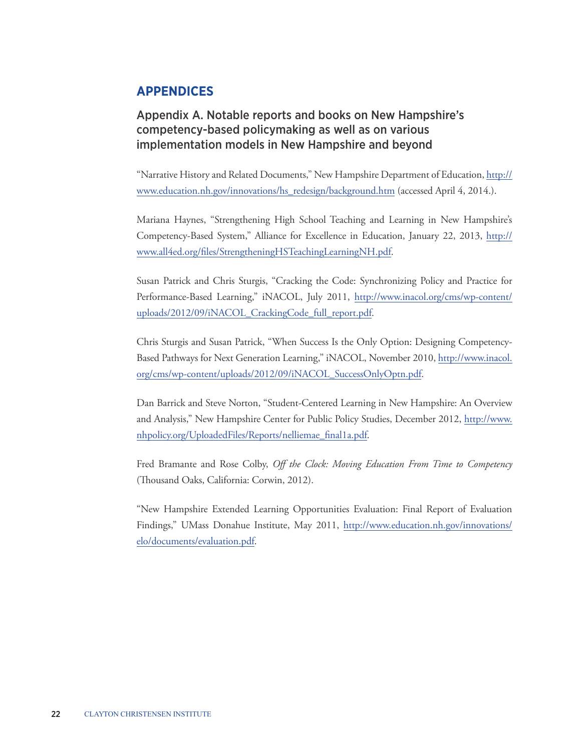### **Appendices**

### Appendix A. Notable reports and books on New Hampshire's competency-based policymaking as well as on various implementation models in New Hampshire and beyond

"Narrative History and Related Documents," New Hampshire Department of Education, http:// www.education.nh.gov/innovations/hs\_redesign/background.htm (accessed April 4, 2014.).

Mariana Haynes, "Strengthening High School Teaching and Learning in New Hampshire's Competency-Based System," Alliance for Excellence in Education, January 22, 2013, http:// www.all4ed.org/files/StrengtheningHSTeachingLearningNH.pdf.

Susan Patrick and Chris Sturgis, "Cracking the Code: Synchronizing Policy and Practice for Performance-Based Learning," iNACOL, July 2011, http://www.inacol.org/cms/wp-content/ uploads/2012/09/iNACOL\_CrackingCode\_full\_report.pdf.

Chris Sturgis and Susan Patrick, "When Success Is the Only Option: Designing Competency-Based Pathways for Next Generation Learning," iNACOL, November 2010, http://www.inacol. org/cms/wp-content/uploads/2012/09/iNACOL\_SuccessOnlyOptn.pdf.

Dan Barrick and Steve Norton, "Student-Centered Learning in New Hampshire: An Overview and Analysis," New Hampshire Center for Public Policy Studies, December 2012, http://www. nhpolicy.org/UploadedFiles/Reports/nelliemae\_final1a.pdf.

Fred Bramante and Rose Colby, *Off the Clock: Moving Education From Time to Competency*  (Thousand Oaks, California: Corwin, 2012).

"New Hampshire Extended Learning Opportunities Evaluation: Final Report of Evaluation Findings," UMass Donahue Institute, May 2011, http://www.education.nh.gov/innovations/ elo/documents/evaluation.pdf.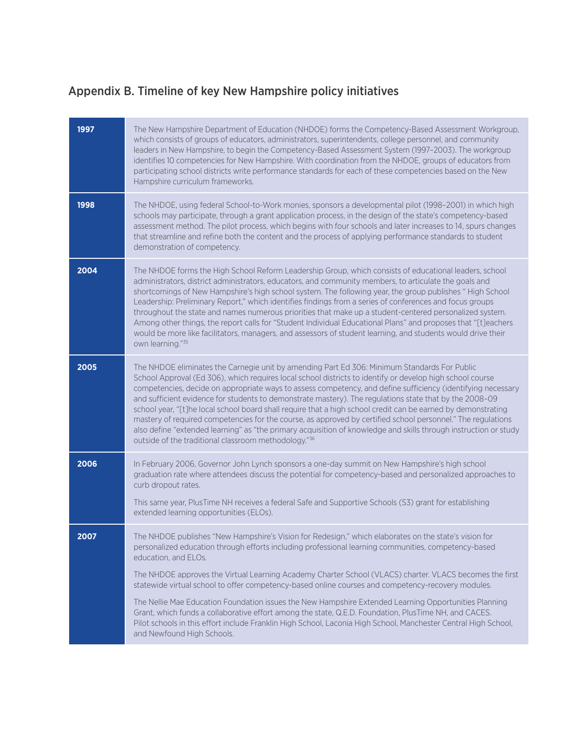## Appendix B. Timeline of key New Hampshire policy initiatives

| The New Hampshire Department of Education (NHDOE) forms the Competency-Based Assessment Workgroup,<br>which consists of groups of educators, administrators, superintendents, college personnel, and community<br>leaders in New Hampshire, to begin the Competency-Based Assessment System (1997-2003). The workgroup<br>identifies 10 competencies for New Hampshire. With coordination from the NHDOE, groups of educators from<br>participating school districts write performance standards for each of these competencies based on the New<br>Hampshire curriculum frameworks.                                                                                                                                                                                                                                                              |
|---------------------------------------------------------------------------------------------------------------------------------------------------------------------------------------------------------------------------------------------------------------------------------------------------------------------------------------------------------------------------------------------------------------------------------------------------------------------------------------------------------------------------------------------------------------------------------------------------------------------------------------------------------------------------------------------------------------------------------------------------------------------------------------------------------------------------------------------------|
| The NHDOE, using federal School-to-Work monies, sponsors a developmental pilot (1998–2001) in which high<br>schools may participate, through a grant application process, in the design of the state's competency-based<br>assessment method. The pilot process, which begins with four schools and later increases to 14, spurs changes<br>that streamline and refine both the content and the process of applying performance standards to student<br>demonstration of competency.                                                                                                                                                                                                                                                                                                                                                              |
| The NHDOE forms the High School Reform Leadership Group, which consists of educational leaders, school<br>administrators, district administrators, educators, and community members, to articulate the goals and<br>shortcomings of New Hampshire's high school system. The following year, the group publishes "High School<br>Leadership: Preliminary Report," which identifies findings from a series of conferences and focus groups<br>throughout the state and names numerous priorities that make up a student-centered personalized system.<br>Among other things, the report calls for "Student Individual Educational Plans" and proposes that "[t]eachers<br>would be more like facilitators, managers, and assessors of student learning, and students would drive their<br>own learning."35                                          |
| The NHDOE eliminates the Carnegie unit by amending Part Ed 306: Minimum Standards For Public<br>School Approval (Ed 306), which requires local school districts to identify or develop high school course<br>competencies, decide on appropriate ways to assess competency, and define sufficiency (identifying necessary<br>and sufficient evidence for students to demonstrate mastery). The regulations state that by the 2008-09<br>school year, "[t]he local school board shall require that a high school credit can be earned by demonstrating<br>mastery of required competencies for the course, as approved by certified school personnel." The regulations<br>also define "extended learning" as "the primary acquisition of knowledge and skills through instruction or study<br>outside of the traditional classroom methodology."36 |
| In February 2006, Governor John Lynch sponsors a one-day summit on New Hampshire's high school<br>graduation rate where attendees discuss the potential for competency-based and personalized approaches to<br>curb dropout rates.<br>This same year, PlusTime NH receives a federal Safe and Supportive Schools (S3) grant for establishing<br>extended learning opportunities (ELOs).                                                                                                                                                                                                                                                                                                                                                                                                                                                           |
| The NHDOE publishes "New Hampshire's Vision for Redesign," which elaborates on the state's vision for<br>personalized education through efforts including professional learning communities, competency-based<br>education, and ELOs.<br>The NHDOE approves the Virtual Learning Academy Charter School (VLACS) charter. VLACS becomes the first<br>statewide virtual school to offer competency-based online courses and competency-recovery modules.<br>The Nellie Mae Education Foundation issues the New Hampshire Extended Learning Opportunities Planning<br>Grant, which funds a collaborative effort among the state, Q.E.D. Foundation, PlusTime NH, and CACES.<br>Pilot schools in this effort include Franklin High School, Laconia High School, Manchester Central High School,<br>and Newfound High Schools.                         |
|                                                                                                                                                                                                                                                                                                                                                                                                                                                                                                                                                                                                                                                                                                                                                                                                                                                   |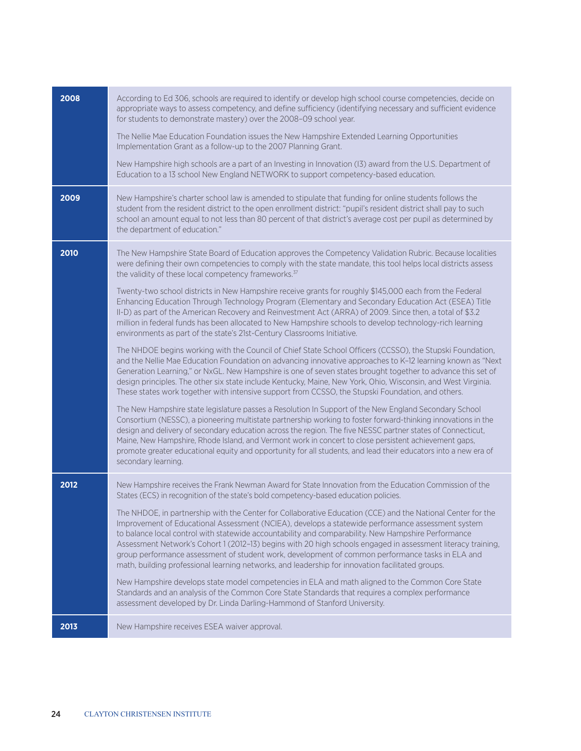| 2008 | According to Ed 306, schools are required to identify or develop high school course competencies, decide on<br>appropriate ways to assess competency, and define sufficiency (identifying necessary and sufficient evidence<br>for students to demonstrate mastery) over the 2008-09 school year.                                                                                                                                                                                                                                                                                                                                               |
|------|-------------------------------------------------------------------------------------------------------------------------------------------------------------------------------------------------------------------------------------------------------------------------------------------------------------------------------------------------------------------------------------------------------------------------------------------------------------------------------------------------------------------------------------------------------------------------------------------------------------------------------------------------|
|      | The Nellie Mae Education Foundation issues the New Hampshire Extended Learning Opportunities<br>Implementation Grant as a follow-up to the 2007 Planning Grant.                                                                                                                                                                                                                                                                                                                                                                                                                                                                                 |
|      | New Hampshire high schools are a part of an Investing in Innovation (I3) award from the U.S. Department of<br>Education to a 13 school New England NETWORK to support competency-based education.                                                                                                                                                                                                                                                                                                                                                                                                                                               |
| 2009 | New Hampshire's charter school law is amended to stipulate that funding for online students follows the<br>student from the resident district to the open enrollment district: "pupil's resident district shall pay to such<br>school an amount equal to not less than 80 percent of that district's average cost per pupil as determined by<br>the department of education."                                                                                                                                                                                                                                                                   |
| 2010 | The New Hampshire State Board of Education approves the Competency Validation Rubric. Because localities<br>were defining their own competencies to comply with the state mandate, this tool helps local districts assess<br>the validity of these local competency frameworks. <sup>37</sup>                                                                                                                                                                                                                                                                                                                                                   |
|      | Twenty-two school districts in New Hampshire receive grants for roughly \$145,000 each from the Federal<br>Enhancing Education Through Technology Program (Elementary and Secondary Education Act (ESEA) Title<br>II-D) as part of the American Recovery and Reinvestment Act (ARRA) of 2009. Since then, a total of \$3.2<br>million in federal funds has been allocated to New Hampshire schools to develop technology-rich learning<br>environments as part of the state's 21st-Century Classrooms Initiative.                                                                                                                               |
|      | The NHDOE begins working with the Council of Chief State School Officers (CCSSO), the Stupski Foundation,<br>and the Nellie Mae Education Foundation on advancing innovative approaches to K-12 learning known as "Next<br>Generation Learning," or NxGL. New Hampshire is one of seven states brought together to advance this set of<br>design principles. The other six state include Kentucky, Maine, New York, Ohio, Wisconsin, and West Virginia.<br>These states work together with intensive support from CCSSO, the Stupski Foundation, and others.                                                                                    |
|      | The New Hampshire state legislature passes a Resolution In Support of the New England Secondary School<br>Consortium (NESSC), a pioneering multistate partnership working to foster forward-thinking innovations in the<br>design and delivery of secondary education across the region. The five NESSC partner states of Connecticut,<br>Maine, New Hampshire, Rhode Island, and Vermont work in concert to close persistent achievement gaps,<br>promote greater educational equity and opportunity for all students, and lead their educators into a new era of<br>secondary learning.                                                       |
| 2012 | New Hampshire receives the Frank Newman Award for State Innovation from the Education Commission of the<br>States (ECS) in recognition of the state's bold competency-based education policies.                                                                                                                                                                                                                                                                                                                                                                                                                                                 |
|      | The NHDOE, in partnership with the Center for Collaborative Education (CCE) and the National Center for the<br>Improvement of Educational Assessment (NCIEA), develops a statewide performance assessment system<br>to balance local control with statewide accountability and comparability. New Hampshire Performance<br>Assessment Network's Cohort 1 (2012-13) begins with 20 high schools engaged in assessment literacy training,<br>group performance assessment of student work, development of common performance tasks in ELA and<br>math, building professional learning networks, and leadership for innovation facilitated groups. |
|      | New Hampshire develops state model competencies in ELA and math aligned to the Common Core State<br>Standards and an analysis of the Common Core State Standards that requires a complex performance<br>assessment developed by Dr. Linda Darling-Hammond of Stanford University.                                                                                                                                                                                                                                                                                                                                                               |
| 2013 | New Hampshire receives ESEA waiver approval.                                                                                                                                                                                                                                                                                                                                                                                                                                                                                                                                                                                                    |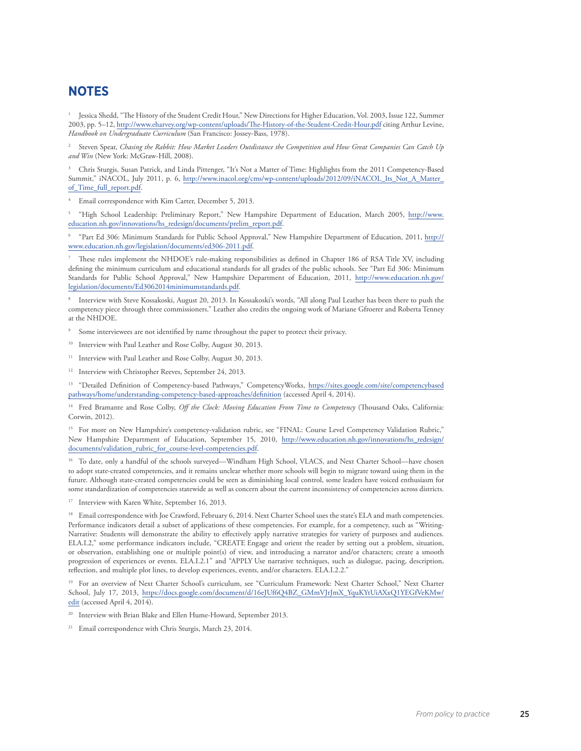### **notes**

<sup>1</sup> Jessica Shedd, "The History of the Student Credit Hour," New Directions for Higher Education, Vol. 2003, Issue 122, Summer 2003, pp. 5–12, http://www.eharvey.org/wp-content/uploads/The-History-of-the-Student-Credit-Hour.pdf citing Arthur Levine, *Handbook on Undergraduate Curriculum* (San Francisco: Jossey-Bass, 1978).

<sup>2</sup> Steven Spear, *Chasing the Rabbit: How Market Leaders Outdistance the Competition and How Great Companies Can Catch Up and Win* (New York: McGraw-Hill, 2008).

<sup>3</sup> Chris Sturgis, Susan Patrick, and Linda Pittenger, "It's Not a Matter of Time: Highlights from the 2011 Competency-Based Summit," iNACOL, July 2011, p. 6, http://www.inacol.org/cms/wp-content/uploads/2012/09/iNACOL\_Its\_Not\_A\_Matter\_ of\_Time\_full\_report.pdf.

Email correspondence with Kim Carter, December 5, 2013.

<sup>5</sup> "High School Leadership: Preliminary Report," New Hampshire Department of Education, March 2005, http://www. education.nh.gov/innovations/hs\_redesign/documents/prelim\_report.pdf.

<sup>6</sup> "Part Ed 306: Minimum Standards for Public School Approval," New Hampshire Department of Education, 2011, http:// www.education.nh.gov/legislation/documents/ed306-2011.pdf.

These rules implement the NHDOE's rule-making responsibilities as defined in Chapter 186 of RSA Title XV, including defining the minimum curriculum and educational standards for all grades of the public schools. See "Part Ed 306: Minimum Standards for Public School Approval," New Hampshire Department of Education, 2011, http://www.education.nh.gov/ legislation/documents/Ed3062014minimumstandards.pdf.

<sup>8</sup> Interview with Steve Kossakoski, August 20, 2013. In Kossakoski's words, "All along Paul Leather has been there to push the competency piece through three commissioners." Leather also credits the ongoing work of Mariane Gfroerer and Roberta Tenney at the NHDOE.

Some interviewees are not identified by name throughout the paper to protect their privacy.

<sup>10</sup> Interview with Paul Leather and Rose Colby, August 30, 2013.

<sup>11</sup> Interview with Paul Leather and Rose Colby, August 30, 2013.

<sup>12</sup> Interview with Christopher Reeves, September 24, 2013.

<sup>13</sup> "Detailed Definition of Competency-based Pathways," CompetencyWorks, https://sites.google.com/site/competencybased pathways/home/understanding-competency-based-approaches/definition (accessed April 4, 2014).

<sup>14</sup> Fred Bramante and Rose Colby, *Off the Clock: Moving Education From Time to Competency* (Thousand Oaks, California: Corwin, 2012).

<sup>15</sup> For more on New Hampshire's competency-validation rubric, see "FINAL: Course Level Competency Validation Rubric," New Hampshire Department of Education, September 15, 2010, http://www.education.nh.gov/innovations/hs\_redesign/ documents/validation\_rubric\_for\_course-level-competencies.pdf.

<sup>16</sup> To date, only a handful of the schools surveyed—Windham High School, VLACS, and Next Charter School—have chosen to adopt state-created competencies, and it remains unclear whether more schools will begin to migrate toward using them in the future. Although state-created competencies could be seen as diminishing local control, some leaders have voiced enthusiasm for some standardization of competencies statewide as well as concern about the current inconsistency of competencies across districts.

<sup>17</sup> Interview with Karen White, September 16, 2013.

<sup>18</sup> Email correspondence with Joe Crawford, February 6, 2014. Next Charter School uses the state's ELA and math competencies. Performance indicators detail a subset of applications of these competencies. For example, for a competency, such as "Writing-Narrative: Students will demonstrate the ability to effectively apply narrative strategies for variety of purposes and audiences. ELA.I.2," some performance indicators include, "CREATE Engage and orient the reader by setting out a problem, situation, or observation, establishing one or multiple point(s) of view, and introducing a narrator and/or characters; create a smooth progression of experiences or events. ELA.I.2.1" and "APPLY Use narrative techniques, such as dialogue, pacing, description, reflection, and multiple plot lines, to develop experiences, events, and/or characters. ELA.I.2.2.'

<sup>19</sup> For an overview of Next Charter School's curriculum, see "Curriculum Framework: Next Charter School," Next Charter School, July 17, 2013, https://docs.google.com/document/d/16eJUf6Q4BZ\_GMmVJrJmX\_YquKYtUiAXxQ1YEGfVeKMw/ edit (accessed April 4, 2014).

<sup>20</sup> Interview with Brian Blake and Ellen Hume-Howard, September 2013.

<sup>21</sup> Email correspondence with Chris Sturgis, March 23, 2014.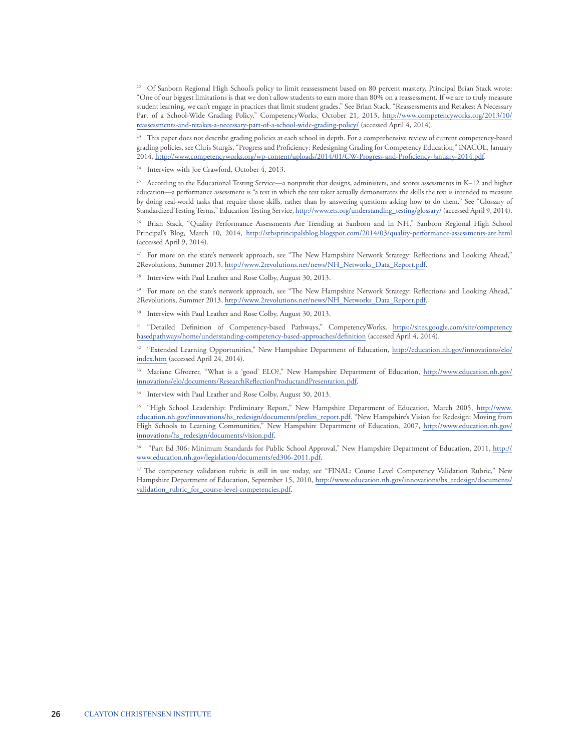<sup>22</sup> Of Sanborn Regional High School's policy to limit reassessment based on 80 percent mastery, Principal Brian Stack wrote: "One of our biggest limitations is that we don't allow students to earn more than 80% on a reassessment. If we are to truly measure student learning, we can't engage in practices that limit student grades." See Brian Stack, "Reassessments and Retakes: A Necessary Part of a School-Wide Grading Policy," CompetencyWorks, October 21, 2013, http://www.competencyworks.org/2013/10/ reassessments-and-retakes-a-necessary-part-of-a-school-wide-grading-policy/ (accessed April 4, 2014).

<sup>23</sup> This paper does not describe grading policies at each school in depth. For a comprehensive review of current competency-based grading policies, see Chris Sturgis, "Progress and Proficiency: Redesigning Grading for Competency Education," iNACOL, January 2014, http://www.competencyworks.org/wp-content/uploads/2014/01/CW-Progress-and-Proficiency-January-2014.pdf.

Interview with Joe Crawford, October 4, 2013.

<sup>25</sup> According to the Educational Testing Service—a nonprofit that designs, administers, and scores assessments in K–12 and higher education—a performance assessment is "a test in which the test taker actually demonstrates the skills the test is intended to measure by doing real-world tasks that require those skills, rather than by answering questions asking how to do them." See "Glossary of Standardized Testing Terms," Education Testing Service, http://www.ets.org/understanding\_testing/glossary/ (accessed April 9, 2014).

<sup>26</sup> Brian Stack, "Quality Performance Assessments Are Trending at Sanborn and in NH," Sanborn Regional High School Principal's Blog, March 10, 2014, http://srhsprincipalsblog.blogspot.com/2014/03/quality-performance-assessments-are.html (accessed April 9, 2014).

<sup>27</sup> For more on the state's network approach, see "The New Hampshire Network Strategy: Reflections and Looking Ahead," 2Revolutions, Summer 2013, http://www.2revolutions.net/news/NH\_Networks\_Data\_Report.pdf.

<sup>28</sup> Interview with Paul Leather and Rose Colby, August 30, 2013.

<sup>29</sup> For more on the state's network approach, see "The New Hampshire Network Strategy: Reflections and Looking Ahead," 2Revolutions, Summer 2013, http://www.2revolutions.net/news/NH\_Networks\_Data\_Report.pdf.

<sup>30</sup> Interview with Paul Leather and Rose Colby, August 30, 2013.

<sup>31</sup> "Detailed Definition of Competency-based Pathways," CompetencyWorks, https://sites.google.com/site/competency basedpathways/home/understanding-competency-based-approaches/definition (accessed April 4, 2014).

<sup>32</sup> "Extended Learning Opportunities," New Hampshire Department of Education, http://education.nh.gov/innovations/elo/ index.htm (accessed April 24, 2014).

<sup>33</sup> Mariane Gfroerer, "What is a 'good' ELO?," New Hampshire Department of Education, http://www.education.nh.gov/ innovations/elo/documents/ResearchReflectionProductandPresentation.pdf.

<sup>34</sup> Interview with Paul Leather and Rose Colby, August 30, 2013.

<sup>35</sup> "High School Leadership: Preliminary Report," New Hampshire Department of Education, March 2005, http://www. education.nh.gov/innovations/hs\_redesign/documents/prelim\_report.pdf. "New Hampshire's Vision for Redesign: Moving from High Schools to Learning Communities," New Hampshire Department of Education, 2007, http://www.education.nh.gov/ innovations/hs\_redesign/documents/vision.pdf.

<sup>36</sup> "Part Ed 306: Minimum Standards for Public School Approval," New Hampshire Department of Education, 2011, http:// www.education.nh.gov/legislation/documents/ed306-2011.pdf.

<sup>37</sup> The competency validation rubric is still in use today, see "FINAL: Course Level Competency Validation Rubric," New Hampshire Department of Education, September 15, 2010, http://www.education.nh.gov/innovations/hs\_redesign/documents/ validation\_rubric\_for\_course-level-competencies.pdf.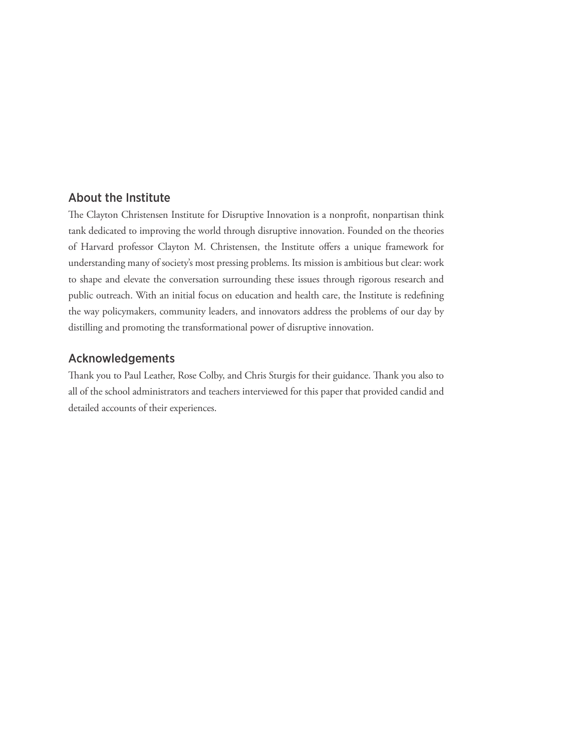### About the Institute

The Clayton Christensen Institute for Disruptive Innovation is a nonprofit, nonpartisan think tank dedicated to improving the world through disruptive innovation. Founded on the theories of Harvard professor Clayton M. Christensen, the Institute offers a unique framework for understanding many of society's most pressing problems. Its mission is ambitious but clear: work to shape and elevate the conversation surrounding these issues through rigorous research and public outreach. With an initial focus on education and health care, the Institute is redefining the way policymakers, community leaders, and innovators address the problems of our day by distilling and promoting the transformational power of disruptive innovation.

### Acknowledgements

Thank you to Paul Leather, Rose Colby, and Chris Sturgis for their guidance. Thank you also to all of the school administrators and teachers interviewed for this paper that provided candid and detailed accounts of their experiences.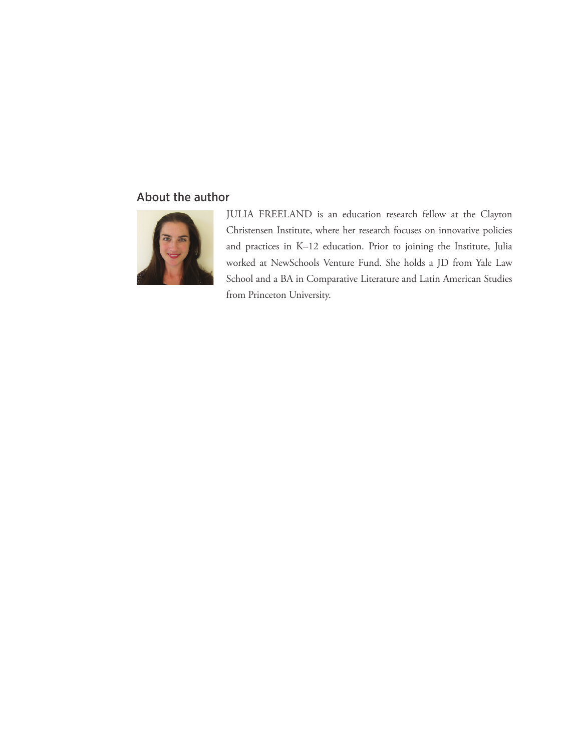### About the author



JULIA FREELAND is an education research fellow at the Clayton Christensen Institute, where her research focuses on innovative policies and practices in K–12 education. Prior to joining the Institute, Julia worked at NewSchools Venture Fund. She holds a JD from Yale Law School and a BA in Comparative Literature and Latin American Studies from Princeton University.